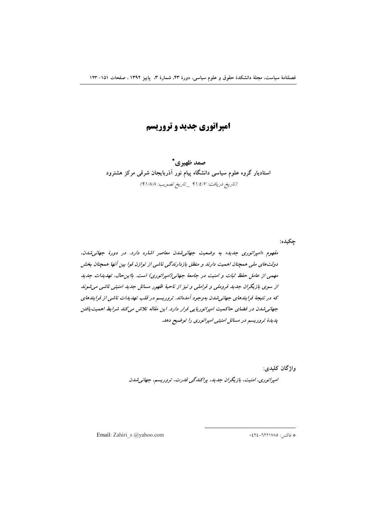# **امپراتوری جدید و تروریسم**

صمد ظهیری<sup>\*</sup> استادیار گروه علوم سیاسی دانشگاه پیام نور اذربایجان شرقی مرکز هشترود (تاريخ دريافت: ٩١/٤/٧ \_ تاريخ تصويب: ٩١/٨/٨)

مفهوم «امپراتوری جدید» به وضعیت جهانی $\sharp$ شدن معاصر اشاره دارد. در دورهٔ جهانی $\sharp$ شدن، دولتهای ملی همچنان اهمیت دارند و منطق بازدارندگی ناشی از توازن قوا بین آنها همچنان بخش مهمی از عامل حفظ ثبات و امنیت در جامعهٔ جهانی(امپراتوری) است. بااین حال، تهدیدات جدید از سوی بازیگران جدید فروملی و فراملی و نیز از ناحیهٔ ظهور مسائل جدید امنیتی ناشی میشوند که در نتیجهٔ فرایندهای جهانی شدن بهوجود آمدهاند. تروریسم در قلب تهدیدات ناشی از فرایندهای جهانی شدن در فضای حاکمیت امپراتوریایی قرار دارد. این مقاله تلاش میکند شرایط اهمیت یافتن پ*لایدهٔ تروریسم در مسائل امنیتی امپراتوری را توضیح دهد.* 

> واژگان کلی*دی*: امپراتوری، امنیت، بازیگران جدید، پراکندگی قدرت، تروریسم، جهانیشدن

Email: Zahiri\_s @yahoo.com 0424-6221785 : \*

**:. /**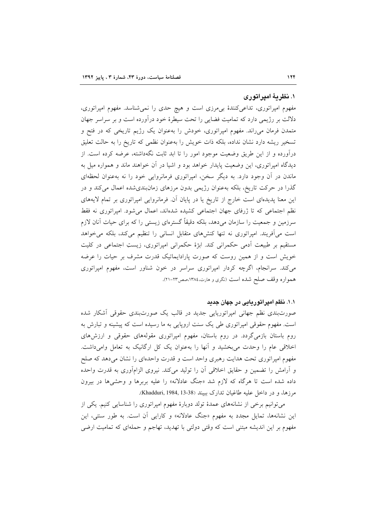### ۱. نظریهٔ امیراتوری

مفهوم امپراتوری، تداعیکنندهٔ بیمرزی است و هیچ حدی را نمیشناسد. مفهوم امپراتوری، دلالت بر رژیمی دارد که تمامیت فضایی را تحت سیطرهٔ خود درآورده است و بر سراسر جهان متمدن فرمان میراند. مفهوم امپراتوری، خودش را بهعنوان یک رژیم تاریخی که در فتح و تسخیر ریشه دارد نشان نداده، بلکه ذات خویش را بهعنوان نظمی که تاریخ را به حالت تعلیق درآورده و از این طریق وضعیت موجود امور را تا ابد ثابت نگهداشته، عرضه کرده است. از دیدگاه امپراتوری، این وضعیت پایدار خواهد بود و اشیا در آن خواهند ماند و همواره میل به ماندن در آن وجود دارد. به دیگر سخن، امپراتوری فرمانروایی خود را نه بهعنوان لحظهای گذرا در حرکت تاریخ، بلکه بهعنوان رژیمی بدون مرزهای زمانبندی شده اعمال میکند و در این معنا پدیدهای است خارج از تاریخ یا در پایان آن. فرمانروایی امپراتوری بر تمام لایههای نظم اجتماعی که تا ژرفای جهان اجتماعی کشیده شدهاند، اعمال می شود. امیراتوری نه فقط سرزمین و جمعیت را سازمان میدهد، بلکه دقیقاً گسترهای زیستی را که برای حیات آنان لازم است می آفریند. امپراتوری نه تنها کنشهای متقابل انسانی را تنظیم میکند، بلکه می خواهد مستقیم بر طبیعت آدمی حکمرانی کند. ابژهٔ حکمرانی امپراتوری، زیستِ اجتماعی در کلیت خویش است و از همین روست که صورت پارادایماتیک قدرت مشرف بر حیات را عرضه می کند. سرانجام، اگرچه کردار امپراتوری سراسر در خون شناور است، مفهوم امپراتوری همواره وقف صلح شده است (نگری و هارت،۱۳۸٤،صص۲۳-۲۱).

# ۰۱۱. نظم امیراتوریایی در جهان جدید

صورتبندی نظم جهانی امپراتوریایی جدید در قالب یک صورتبندی حقوقی آشکار شده است. مفهوم حقوقی امپراتوری طی یک سنت اروپایی به ما رسیده است که پیشینه و تبارش به روم باستان بازمیگردد. در روم باستان، مفهوم امپراتوری مقولههای حقوقی و ارزشهای اخلاقی عام را وحدت می بخشید و آنها را بهعنوان یک کل ارگانیک به تعامل وامیداشت. مفهوم امپراتوری تحت هدایت رهبری واحد است و قدرت واحدهای را نشان میدهد که صلح و آرامش را تضمین و حقایق اخلاقی آن را تولید میکند. نیروی الزامآوری به قدرت واحده داده شده است تا هرگاه که لازم شد «جنگ عادلانه» را علیه بربرها و وحشیها در بیرون مرزها، و در داخل عليه طاغيان تدارك ببيند (Khadduri, 1984, 13-38).

می توانیم برخی از نشانههای عمدهٔ تولد دوبارهٔ مفهوم امپراتوری را شناسایی کنیم. یکی از این نشانهها، تمایل مجدد به مفهوم «جنگ عادلانه» و کارایی آن است. به طور سنتی، این مفهوم بر این اندیشه مبتنی است که وقتی دولتی با تهدید، تهاجم و حملهای که تمامیت ارضی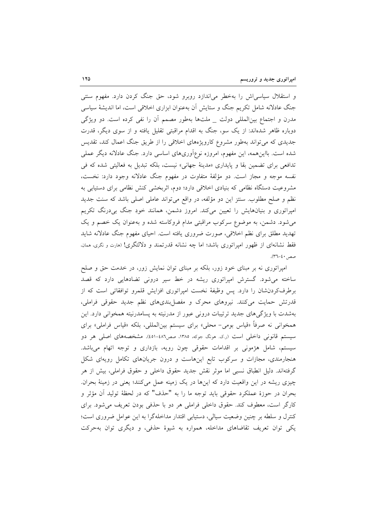و استقلال سیاسی اش را بهخطر می اندازد روبرو شود، حق جنگ کردن دارد. مفهوم سنتی جنگ عادلانه شامل تکریم جنگ و ستایش آن بهعنوان ابزاری اخلاقی است، اما اندیشهٔ سیاسی مدرن و اجتماع بینالمللی دولت \_ ملتها بهطور مصمم أن را نفی کرده است. دو ویژگی دوباره ظاهر شدهاند: از یک سو، جنگ به اقدام مراقبتی تقلیل یافته و از سوی دیگر، قدرت جدیدی که می تواند بهطور مشروع کارویژههای اخلاقی را از طریق جنگ اعمال کند، تقدیس شده است. بااینهمه، این مفهوم، امروزه نوعآوریهای اساسی دارد. جنگ عادلانه دیگر عملی تدافعی برای تضمین بقا و پایداری «مدینهٔ جهانی» نیست، بلکه تبدیل به فعالیتی شده که فی نفسه موجه و مجاز است. دو مؤلفهٔ متفاوت در مفهوم جنگ عادلانه وجود دارد: نخست، مشروعیت دستگاه نظامی که بنیادی اخلاقی دارد؛ دوم، اثربخشی کنش نظامی برای دستیابی به نظم و صلح مطلوب. سنتز این دو مؤلفه، در واقع می تواند عاملی اصلی باشد که سنت جدید امپراتوری و بنیانهایش را تعیین میکند. امروز دشمن، همانند خودِ جنگ بیدرنگ تکریم میشود. دشمن، به موضوعِ سرکوبِ مراقبتی مدام فروکاسته شده و بهعنوان یک خصم و یک تهدید مطلق برای نظم اخلاقی، صورت ضروری یافته است. احیای مفهوم جنگ عادلانه شاید فقط نشانهای از ظهور امپراتوری باشد؛ اما چه نشانه قدرتمند و دلالتگری! (مارت و نگری، ممان،  $2.5 - 2 - 77$ .

امپراتوری نه بر مبنای خود زور، بلکه بر مبنای توان نمایش زور، در خدمت حق و صلح ساخته می شود. گسترش امپراتوری ریشه در خط سیر درونی تضادهایی دارد که قصد برطرفکردنشان را دارد. پس وظیفهٔ نخست امپراتوری افزایش قلمرو توافقاتی است که از قدرتش حمایت میکنند. نیروهای محرک و مفصل بندیهای نظم جدید حقوقی فراملی، بهشدت با ویژگیهای جدید ترتیبات درونی عبور از مدرنیته به پسامدرنیته همخوانی دارد. این همخوانی نه صرفاً «قیاس بومی- محلی» برای سیستم بینالمللی، بلکه «قیاس فراملی» برای سیستم قانونی داخلی است (ر.ی. مونگ جوکه، ۱۳۸۵، صص۵۸-۵۱). مشخصههای اصلی هر دو سیستم، شامل هژمونی بر اقدامات حقوقی چون رویه، بازداری و توجه اتهام میباشد. هنجارمندی، مجازات و سرکوب تابع اینهاست و درون جریانهای تکامل رویهای شکل گرفتهاند. دلیل انطباق نسبی اما موثر نقش جدید حقوق داخلی و حقوق فراملی، بیش از هر چیزی ریشه در این واقعیت دارد که اینها در یک زمینه عمل میکنند؛ یعنی در زمینهٔ بحران. بحران در حوزهٔ عملکرد حقوقی باید توجه ما را به "حذف" که در لحظهٔ تولید آن مؤثر و کارگر است، معطوف کند. حقوق داخلی فراملی هر دو با حذفی بودن تعریف می شود. برای کنترل و سلطه بر چنین وضعیت سیالی، دستیابی اقتدار مداخلهگرا به این عوامل ضروری است؛ یکی توان تعریف تقاضاهای مداخله، همواره به شیوهٔ حذفی، و دیگری توان بهحرکت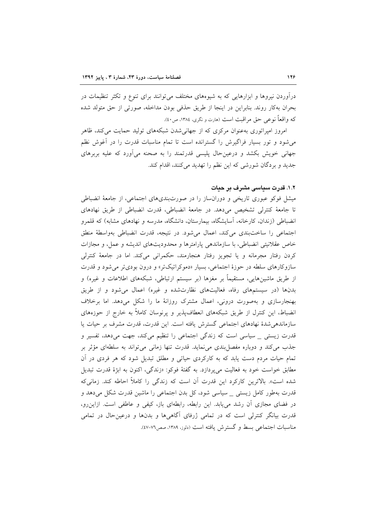درآوردن نیروها و ابزارهایی که به شیوههای مختلف میتوانند برای تنوع و تکثر تنظیمات در بحران بهكار روند. بنابراين در اينجا از طريق حذفي بودن مداخله، صورتي از حق متولد شده که واقعاً نوعی حق مراقبت است (مارت و نگری، ۱۳۸٤، ص٤٠).

امروز امیراتوری بهعنوان مرکزی که از جهانی شدن شبکههای تولید حمایت می کند، ظاهر می شود و تور بسیار فراگیرش را گسترانده است تا تمام مناسبات قدرت را در آغوش نظم جهانی خویش بکشد و درعین حال پلیسی قدرتمند را به صحنه می آورد که علیه بربرهای جدید و بردگان شورشی که این نظم را تهدید می کنند، اقدام کند.

# ١.٢. قدرت سداسي مشرف بر حدات

میشل فوکو عبوری تاریخی و دورانساز را در صورتبندیهای اجتماعی، از جامعهٔ انضباطی تا جامعهٔ کنترلی تشخیص میدهد. در جامعهٔ انضباطی، قدرت انضباطی از طریق نهادهای انضباطی (زندان، کارخانه، آسایشگاه، بیمارستان، دانشگاه، مدرسه و نهادهای مشابه) که قلمرو اجتماعی را ساختبندی میکند، اعمال میشود. در نتیجه، قدرت انضباطی بهواسطهٔ منطق خاص عقلانیتی انضباطی، با سازماندهی پارامترها و محدودیتهای اندیشه و عمل، و مجازات کردن رفتار مجرمانه و یا تجویز رفتار هنجارمند، حکمرانی میکند. اما در جامعهٔ کنترلی سازوکارهای سلطه در حوزهٔ اجتماعی، بسیار «دموکر اتیکتر» و درون بودیتر می شود و قدرت از طریق ماشینهایی، مستقیماً بر مغزها (بر سیستم ارتباطی، شبکههای اطلاعات و غیره) و بدنها (در سیستمهای رفاه، فعالیتهای نظارتشده و غیره) اعمال می شود و از طریق بهنجارسازی و بهصورت درونی، اعمال مشترک روزانهٔ ما را شکل میدهد. اما برخلاف انضباط، این کنترل از طریق شبکههای انعطافپذیر و پرنوسان کاملاً به خارج از حوزههای سازماندهی شدهٔ نهادهای اجتماعی گسترش یافته است. این قدرت، قدرت مشرف بر حیات یا قدرت زیستی \_ سیاسی است که زندگی اجتماعی را تنظیم میکند، جهت میدهد، تفسیر و جذب میکند و دوباره مفصل بندی می نماید. قدرت تنها زمانی می تواند به سلطهای مؤثر بر تمام حیات مردم دست یابد که به کارکردی حیاتی و مطلق تبدیل شود که هر فردی در آن مطابق خواست خود به فعالیت می پردازد. به گفتهٔ فوکو: «زندگی، اکنون به ابژهٔ قدرت تبدیل شده است». بالاترین کارکرد این قدرت آن است که زندگی را کاملاً احاطه کند. زمانی *ک*ه قدرت بهطور کامل زیستی \_ سیاسی شود، کل بدن اجتماعی را ماشین قدرت شکل میدهد و در فضای مجازی آن رشد می یابد. این رابطه، رابطهای باز، کیفی و عاطفی است. ازاین رو، قدرت بیانگر کنترلی است که در تمامی ژرفای آگاهیها و بدنها و درعینحال در تمامی مناسبات اجتماعی بسط و گسترش یافته است (دلور، ۱۳۸۹، صص۷۲-٤۷).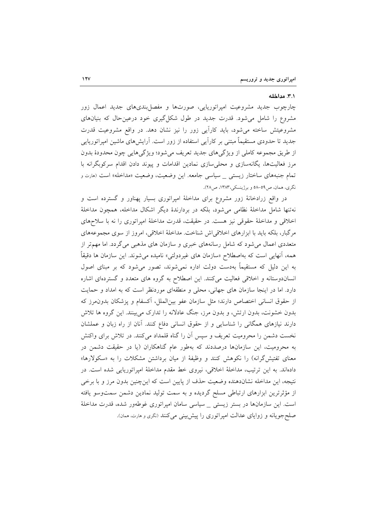#### ٣.١. مداخله

چارچوب جدید مشروعیت امیراتوریایی، صورتها و مفصل بندیهای جدید اعمال زور مشروع را شامل می شود. قدرت جدید در طول شکل گیری خود درعین حال که بنیانهای مشروعیتش ساخته می شود، باید کارآیی زور را نیز نشان دهد. در واقع مشروعیت قدرت جدید تا حدودی مستقیماً مبتنی بر کارایی استفاده از زور است. آرایش های ماشین امپراتوریایی از طريق مجموعه كاملي از ويژگي هاي جديد تعريف مي شود؛ ويژگي هايي چون محدودهٔ بدون مرز فعالیتها، یگانهسازی و محلی سازی نمادین اقدامات و پیوند دادن اقدام سرکوبگرانه با تمام جنبههای ساختار زیستی \_ سیاسی جامعه. این وضعیت، وضعیت «مداخله» است (هارت و نگري، همان، ص٥٩-٥٨ و برژينسکي،١٣٨٣، ص٢٨).

در واقع زرادخانهٔ زور مشروع برای مداخلهٔ امپراتوری بسیار پهناور و گسترده است و نهتنها شامل مداخلهٔ نظامی میشود، بلکه در بردارندهٔ دیگر اشکال مداخله، همچون مداخلهٔ اخلاقی و مداخلهٔ حقوقی نیز هست. در حقیقت، قدرت مداخلهٔ امپراتوری را نه با سلاحهای مرگبار، بلکه باید با ابزارهای اخلاقی اش شناخت. مداخلهٔ اخلاقی، امروز از سوی مجموعههای متعددی اعمال میشود که شامل رسانههای خبری و سازمان های مذهبی میگردد. اما مهم تر از همه، آنهایی است که بهاصطلاح «سازمان های غیردولتی» نامیده میشوند. این سازمان ها دقیقاً به این دلیل که مستقیماً بهدست دولت اداره نمی شوند، تصور می شود که بر مبنای اصول انساندوستانه و اخلاقی فعالیت میکنند. این اصطلاح به گروه های متعدد و گستردهای اشاره دارد. اما در اینجا سازمان های جهانی، محلی و منطقهای موردنظر است که به امداد و حمایت از حقوق انسانی اختصاص دارند؛ مثل سازمان عفو بینالملل، آکسفام و پزشکان بدون مرز که بدون خشونت، بدون ارتش، و بدون مرز، جنگ عادلانه را تدارک می بینند. این گروه ها تلاش دارند نیازهای همگانی را شناسایی و از حقوق انسانی دفاع کنند. آنان از راه زبان و عملشان نخست دشمن را محرومیت تعریف و سپس آن را گناه قلمداد می کنند. در تلاش برای واکنش به محرومیت، این سازمانها درصددند که بهطور عام گناهکاران (یا در حقیقت دشمن در معنای تفتیش گرانه) را نکوهش کنند و وظیفهٔ از میان برداشتن مشکلات را به «سکولارها» دادهاند. به این ترتیب، مداخلهٔ اخلاقی، نیروی خط مقدم مداخلهٔ امپراتوریایی شده است. در نتیجه، این مداخله نشاندهنده وضعیت حذف از پایین است که اینچنین بدون مرز و با برخی از مؤثرترین ابزارهای ارتباطی مسلح گردیده و به سمت تولید نمادین دشمن سمتوسو یافته است. این سازمانها در بستر زیستی \_ سیاسی سامان امیراتوری غوطهور شده، قدرت مداخلهٔ صلح جویانه و زوایای عدالت امپراتوری را پیش بینی می کنند (نگری و هارت، همان).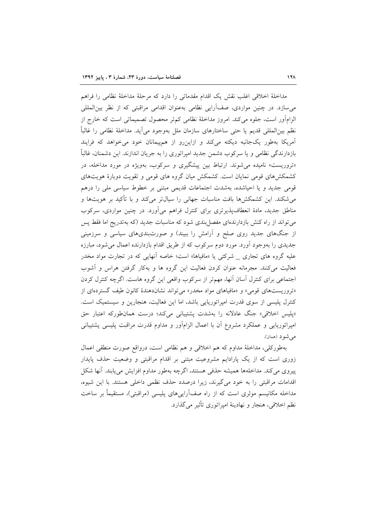مداخلهٔ اخلاقی اغلب نقش یک اقدام مقدماتی را دارد که مرحلهٔ مداخلهٔ نظامی را فراهم می سازد. در چنین مواردی، صفآرایی نظامی بهعنوان اقدامی مراقبتی که از نظر بینالمللی الزامأور است، جلوه میکند. امروز مداخلهٔ نظامی کمتر محصول تصمیماتی است که خارج از نظم بين|لمللي قديم يا حتى ساختارهاي سازمان ملل بهوجود مي]يد. مداخلهٔ نظامي را غالباً آمریکا بهطور یکجانبه دیکته میکند و ازاین رو از همپیمانان خود میخواهد که فرایند بازدارندگی نظامی و یا سرکوب دشمن جدید امپراتوری را به جریان اندازند. این دشمنان، غالباً «تروریست» نامیده می شوند. ارتباط بین پیشگیری و سرکوب، بهویژه در مورد مداخله، در کشمکش های قومی نمایان است. کشمکش میان گروه های قومی و تقویت دوبارهٔ هویتهای قومی جدید و یا احیاشده، بهشدت اجتماعات قدیمی مبتنی بر خطوط سیاسی ملی را درهم می شکند. این کشمکشها بافت مناسبات جهانی را سیالتر میکند و با تأکید بر هویتها و مناطق جدید، مادهٔ انعطاف پذیرتری برای کنترل فراهم میآورد. در چنین مواردی، سرکوب می تواند از راه کنش بازدارندهای مفصل بندی شود که مناسبات جدید (که به تدریج اما فقط پس از جنگهای جدید روی صلح و آرامش را ببیند) و صورتبندیهای سیاسی و سرزمینی جدیدی را بهوجود آورد. مورد دوم سرکوب که از طریق اقدام بازدارنده اعمال میشود، مبارزه علیه گروه های تجاری \_ شرکتی یا «مافیاها» است؛ خاصه آنهایی که در تجارت مواد مخدر فعالیت می کنند. مجرمانه عنوان کردن فعالیت این گروه ها و بهکار گرفتن هراس و آشوب اجتماعی برای کنترل أسان أنها، مهمتر از سرکوب واقعی این گروه هاست. اگرچه کنترل کردن «تروریستهای قومی» و «مافیاهای مواد مخدر» می تواند نشاندهندهٔ کانون طیف گستردهای از کنترل پلیسی از سوی قدرت امیراتوریایی باشد، اما این فعالیت، هنجارین و سیستمیک است. «پلیس اخلاقی» جنگ عادلانه را بهشدت پشتیبانی میکند؛ درست همانطورکه اعتبار حق امپراتوریایی و عملکرد مشروع آن با اعمال الزامآور و مداوم قدرت مراقبت پلیسی پشتیبانی مي شود (همان).

بهطوركلي، مداخلة مداوم كه هم اخلاقى و هم نظامى است، درواقع صورت منطقى اعمال زوری است که از یک پارادایم مشروعیت مبتنی بر اقدام مراقبتی و وضعیت حذف پایدار ييروي مي كند. مداخلهها هميشه حذفي هستند، اگرچه بهطور مداوم افزايش مي يابند. آنها شكل اقدامات مراقبتی را به خود می گیرند، زیرا درصدد حذف نظمی داخلی هستند. با این شیوه، مداخله مکانیسم موثری است که از راه صفآرایی۵های پلیسی (مراقبتی)، مستقیماً بر ساخت نظم اخلاقي، هنجار و نهادينهٔ اميراتوري تأثير مي گذارد.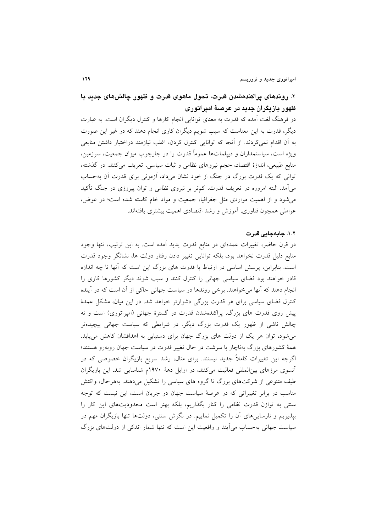# ۲. روندهای پراکندهشدن قدرت، تحول ماهوی قدرت و ظهور چالشهای جدید با ظهور بازیگران جدید در عرصهٔ امیراتوری

در فرهنگ لغت اَمده که قدرت به معنای توانایی انجام کارها و کنترل دیگران است. به عبارت دیگر، قدرت به این معناست که سبب شویم دیگران کاری انجام دهند که در غیر این صورت به آن اقدام نمی کردند. از آنجا که توانایی کنترل کردن، اغلب نیازمند دراختیار داشتن منابعی ویژه است، سیاستمداران و دیپلماتها عموماً قدرت را در چارچوب میزان جمعیت، سرزمین، منابع طبیعی، اندازهٔ اقتصاد، حجم نیروهای نظامی و ثبات سیاسی، تعریف میکنند. در گذشته، توانی که یک قدرت بزرگ در جنگ از خود نشان میداد، آزمونی برای قدرت آن به حساب میآمد. البته امروزه در تعریف قدرت، کمهتر بر نیروی نظامی و توان پیروزی در جنگ تأکید می شود و از اهمیت مواردی مثل جغرافیا، جمعیت و مواد خام کاسته شده است؛ در عوض، عواملی همچون فناوری، آموزش و رشد اقتصادی اهمیت بیشتری یافتهاند.

# ١.٢. جابهجائی قدرت

در قرن حاضر، تغییرات عمدهای در منابع قدرت پدید آمده است. به این ترتیب، تنها وجود منابع دلیل قدرت نخواهد بود، بلکه توانایی تغییر دادن رفتار دولت ها، نشانگر وجود قدرت است. بنابراین، پرسش اساسی در ارتباط با قدرت های بزرگ این است که آنها تا چه اندازه قادر خواهند بود فضای سیاسی جهانی را کنترل کنند و سبب شوند دیگر کشورها کاری را انجام دهند که آنها می خواهند. برخی روندها در سیاست جهانی حاکی از آن است که در آینده کنترل فضای سیاسی برای هر قدرت بزرگی دشوارتر خواهد شد. در این میان، مشکل عمدهٔ پیش روی قدرت های بزرگ، پراکندهشدن قدرت در گسترهٔ جهانی (امپراتوری) است و نه چالش ناشی از ظهور یک قدرت بزرگ دیگر. در شرایطی که سیاست جهانی پیچیدهتر می شود، توان هر یک از دولت های بزرگ جهان برای دستیابی به اهدافشان کاهش می یابد. همهٔ کشورهای بزرگ بهناچار با سرشت در حال تغییر قدرت در سیاست جهان روبهرو هستند؛ اگرچه این تغییرات کاملاً جدید نیستند. برای مثال، رشد سریع بازیگران خصوصی که در آنسوی مرزهای بینالمللی فعالیت میکنند، در اوایل دههٔ ۱۹۷۰م شناسایی شد. این بازیگران طیف متنوعی از شرکتهای بزرگ تا گروه های سیاسی را تشکیل میدهند. بههرحال، واکنش مناسب در برابر تغییراتی که در عرصهٔ سیاست جهان در جریان است، این نیست که توجه سنتی به توازن قدرت نظامی را کنار بگذاریم، بلکه بهتر است محدودیتهای این کار را بپذیریم و نارساییهای آن را تکمیل نماییم. در نگرش سنتی، دولتها تنها بازیگران مهم در سیاست جهانی بهحساب می آیند و واقعیت این است که تنها شمار اندکی از دولتهای بزرگ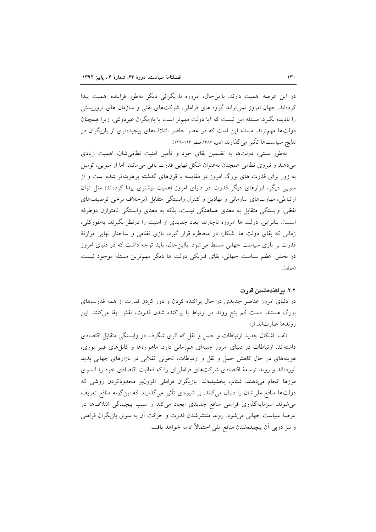در این عرصه اهمیت دارند. بااین حال، امروزه بازیگرانی دیگر بهطور فزاینده اهمیت پیدا کردهاند. جهان امروز نمی تواند گروه های فراملی، شرکتهای نفتی و سازمان های تروریستی را نادیده بگیرد. مسئله این نیست که آیا دولت مهمتر است یا بازیگران غیردولتی، زیرا همچنان دولتها مهمترند. مسئله این است که در عصر حاضر ائتلافهای پیچیدهتری از بازیگران در نتايج سياستها تأثير مي گذارند (ناي، ١٣٨٧،صص١٢٣-١٢٢).

بهطور سنتی، دولتها به تضمین بقای خود و تأمین امنیت نظامیشان، اهمیت زیادی می،دهند و نیروی نظامی همچنان بهعنوان شکل نهایی قدرت باقی می،مانند. اما از سویی، توسل به زور برای قدرت های بزرگ امروز در مقایسه با قرنهای گذشته پرهزینهتر شده است و از سویی دیگر، ابزارهای دیگر قدرت در دنیای امروز اهمیت بیشتری پیدا کردهاند؛ مثل توان ارتباطی، مهارتهای سازمانی و نهادین و کنترل وابستگی متقابل (برخلاف برخی توصیفهای لفظی، وابستگی متقابل به معنای هماهنگی نیست، بلکه به معنای وابستگی نامتوازن دوطرفه است). بنابراین، دولت ها امروزه ناچارند ابعاد جدیدی از امنیت را درنظر بگیرند. بهطورکلی، زمانی که بقای دولت ها آشکارا در مخاطره قرار گیرد، بازی نظامی و ساختار نهایی موازنهٔ قدرت بر بازی سیاست جهانی مسلط می شود. بااین حال، باید توجه داشت که در دنیای امروز در بخش اعظم سیاست جهانی، بقای فیزیکی دولت ها دیگر مهمترین مسئله موجود نیست (همان).

## ۲.۲. پراکندهشدن قدرت

در دنیای امروز عناصر جدیدی در حال پراکنده کردن و دور کردن قدرت از همه قدرتهای بزرگ هستند. دست کم پنج روند در ارتباط با پراکنده شدن قدرت، نقش ایفا میکنند. این روندها عبارتاند از:

الف. اشکال جدید ارتباطات و حمل و نقل که اثری شگرف در وابستگی متقابل اقتصادی داشتهاند. ارتباطات در دنیای امروز جنبهای همزمانی دارد. ماهوارهها و کابلهای فیبر نوری، هزینههای در حال کاهش حمل و نقل و ارتباطات، تحولی انقلابی در بازارهای جهانی پدید آوردهاند و روند توسعهٔ اقتصادی شرکتهای فرامله ای را که فعالیت اقتصادی خود را آنسوی مرزها انجام مىدهند، شتاب بخشيدهاند. بازيگران فراملى افزونبر محدودكردن روشى كه دولتها منافع ملی شان را دنبال میکنند، بر شیوهای تأثیر میگذارند که اینگونه منافع تعریف می شوند. سرمایهگذاری فراملی منافع جدیدی ایجاد میکند و سبب پیچیدگی ائتلافها در عرصهٔ سیاست جهانی میشود. روند منتشرشدن قدرت و حرکت آن به سوی بازیگران فراملی و نيز دريي آن پيچيدهشدن منافع ملي احتمالاً ادامه خواهد يافت.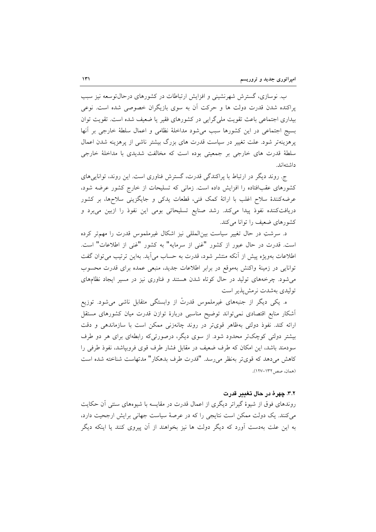ب. نوسازی، گسترش شهرنشینی و افزایش ارتباطات در کشورهای درحال توسعه نیز سبب یراکنده شدن قدرت دولت ها و حرکت آن به سوی بازیگران خصوصی شده است. نوعی بیداری اجتماعی باعث تقویت ملیگرایی در کشورهای فقیر یا ضعیف شده است. تقویت توان بسیج اجتماعی در این کشورها سبب میشود مداخلهٔ نظامی و اعمال سلطهٔ خارجی بر آنها یرهزینهتر شود. علت تغییر در سیاست قدرت های بزرگ بیشتر ناشی از پرهزینه شدن اعمال سلطهٔ قدرت های خارجی بر جمعیتی بوده است که مخالفت شدیدی با مداخلهٔ خارجی داشتەاند.

ج. روند دیگر در ارتباط با پراکندگی قدرت، گسترش فناوری است. این روند، توانایی های کشورهای عقبافتاده را افزایش داده است. زمانی که تسلیحات از خارج کشور عرضه شود، عرضهکنندهٔ سلاح اغلب با ارائهٔ کمک فنی، قطعات یدکی و جایگزینی سلاحها، بر کشور دریافتکننده نفوذ پیدا میکند. رشد صنایع تسلیحاتی بومی این نفوذ را ازبین میبرد و کشورهای ضعیف را توانا می کند.

د. سرشتِ در حال تغییر سیاست بین المللی نیز اشکال غیرملموس قدرت را مهمتر کرده است. قدرت در حال عبور از کشور "غنی از سرمایه" به کشور "غنی از اطلاعات" است. اطلاعات بهویژه پیش از آنکه منتشر شود، قدرت به حساب می آید. بهاین ترتیب می توان گفت توانایی در زمینهٔ واکنش بهموقع در برابر اطلاعات جدید، منبعی عمده برای قدرت محسوب می شود. چرخههای تولید در حال کوتاه شدن هستند و فناوری نیز در مسیر ایجاد نظامهای تولیدی بهشدت نرمش پذیر است

ه. یکی دیگر از جنبههای غیرملموس قدرتْ از وابستگی متقابل ناشی میشود. توزیع أشكار منابع اقتصادى نمىتواند توضيح مناسبي دربارة توازن قدرت ميان كشورهاى مستقل ارائه كند. نفوذ دولتي بهظاهر قوىتر در روند چانهزني ممكن است با سازماندهي و دقت بیشتر دولتی کوچکتر محدود شود. از سوی دیگر، درصورتیکه رابطهای برای هر دو طرف سودمند باشد، این امکان که طرف ضعیف در مقابل فشار طرف قوی فروبپاشد، نفوذ طرفی را كاهش مى دهد كه قوىتر بهنظر مى رسد. "قدرت طرف بدهكار" مدتهاست شناخته شده است (همان، صص ١٣٢–١٢٧).

### ٣.٢. ڇهر هُ در حال تغيير قدرت

روندهای فوق از شیوهٔ گیراتر دیگری از اعمال قدرت در مقایسه با شیوههای سنتی آن حکایت می کنند. یک دولت ممکن است نتایجی را که در عرصهٔ سیاست جهانی برایش ارجحیت دارد، به این علت بهدست آورد که دیگر دولت ها نیز بخواهند از آن پیروی کنند یا اینکه دیگر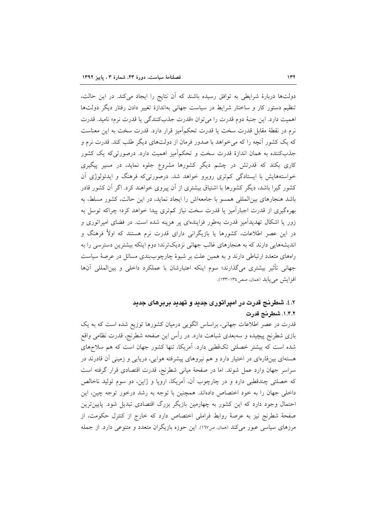دولتها دربارهٔ شرایطی به توافق رسیده باشند که آن نتایج را ایجاد میکند. در این حالت، تنظیم دستور کار و ساختار شرایط در سیاست جهانی بهاندازهٔ تغییر دادن رفتار دیگر دولتها اهميت دارد. اين جنبهٔ دوم قدرت را مي توان «قدرت جذب كنندگي يا قدرت نرم» ناميد. قدرت نرم در نقطهٔ مقابل قدرت سخت یا قدرت تحکمآمیز قرار دارد. قدرت سخت به این معناست که یک کشور آنچه را که می خواهد با صدور فرمان از دولتهای دیگر طلب کند. قدرت نرم و جذب کننده به همان اندازهٔ قدرت سخت و تحکمآمیز اهمیت دارد. درصورتی که یک کشور کاری بکند که قدرتش در چشم دیگر کشورها مشروع جلوه نماید، در مسیر پیگیری خواستههایش با ایستادگی کمتری روبرو خواهد شد. درصورتی که فرهنگ و ایدئولوژی آن کشور گیرا باشد، دیگر کشورها با اشتیاق بیشتری از آن پیروی خواهند کرد. اگر آن کشور قادر باشد هنجارهای بین|لمللی همسو با جامعهاش را ایجاد نماید، در این حالت، کشور مسلط، به بهرهگیری از قدرت اجبارآمیز یا قدرت سخت نیاز کم تری پیدا خواهد کرد؛ چراکه توسل به زور یا اشکال تهدیدآمیز قدرت بهطور فزایندهای پر هزینه شده است. در فضای امپراتوری و در این عصر اطلاعات، کشورها یا بازیگرانی دارای قدرت نرم هستند که اولاً فرهنگ و اندیشههایی دارند که به هنجارهای غالب جهانی نزدیکترند؛ دوم اینکه بیشترین دسترسی را به راههای متعدد ارتباطی دارند و به همین علت بر شیوهٔ چارچوببندی مسائل در عرصهٔ سیاست جهاني تأثير بيشتري مي گذارند؛ سوم اينكه اعتبارشان با عملكرد داخلي و بين المللي آنها افزايش مى يابد (همان، صص١٣٤-١٣٣).

# ٤.٢. شطرنج قدرت در اميراتوري جديد و تهديد بربرهاي جديد ١.۴.٢. شطرنج قدرت

قدرت در عصر اطلاعات جهانی، براساس الگویی درمیان کشورها توزیع شده است که به یک بازی شطرنج پیچیده و سهبعدی شباهت دارد. در رأس این صفحه شطرنج، قدرت نظامی واقع شده است که بیشتر خصلتی تکقطبی دارد. آمریکا، تنها کشور جهان است که هم سلاحهای هستهای بینقارمای در اختیار دارد و هم نیروهای پیشرفته هوایی، دریایی و زمینی آن قادرند در سراسر جهان وارد عمل شوند. اما در صفحهٔ میانی شطرنج، قدرت اقتصادی قرار گرفته است که خصلتی چندقطبی دارد و در چارچوب آن، آمریکا، اروپا و ژاپن، دو سوم تولید ناخالص داخلی جهان را به خود اختصاص دادهاند. همچنین با توجه به رشد درخور توجه چین، این احتمال وجود دارد که این کشور به چهارمین بازیگر بزرگ اقتصادی تبدیل شود. پایینترین صفحهٔ شطرنج نیز به عرصهٔ روابط فراملی اختصاص دارد که خارج از کنترل حکومت، از مرزهای سیاسی عبور می کند (همان ص١٦٧). این حوزه بازیگران متعدد و متنوعی دارد. از جمله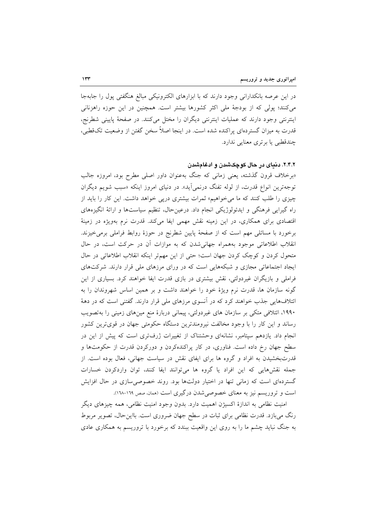در این عرصه بانکدارانی وجود دارند که با ابزارهای الکترونیکی مبالغ هنگفتی پول را جابهجا می کنند؛ پولی که از بودجهٔ ملی اکثر کشورها بیشتر است. همچنین در این حوزه راهزنانی اینترنتی وجود دارند که عملیات اینترنتی دیگران را مختل میکنند. در صفحهٔ پایینی شطرنج، قدرت به میزان گستردهای پراکنده شده است. در اینجا اصلاً سخن گفتن از وضعیت تکقطبی، چندقطبی یا بر تری معنایی ندارد.

۲.۴.۲. دنیای در حال کوچکشدن و ادغامشدن

«برخلاف قرون گذشته، یعنی زمانی که جنگ بهعنوان داور اصلی مطرح بود، امروزه جالب توجهترین انواع قدرت، از لوله تفنگ درنمی اید». در دنیای امروز اینکه «سبب شویم دیگران چیزی را طلب کنند که ما می خواهیم» ثمرات بیشتری درپی خواهد داشت. این کار را باید از راه گیرایی فرهنگی و ایدئولوژیکی انجام داد. درعینحال، تنظیم سیاستها و ارائهٔ انگیزههای اقتصادی برای همکاری، در این زمینه نقش مهمی ایفا میکند. قدرت نرم بهویژه در زمینهٔ برخورد با مسائلی مهم است که از صفحهٔ پایین شطرنج در حوزهٔ روابط فراملی برمیخیزند. انقلابِ اطلاعاتی موجود بههمراه جهانیشدن که به موازات آن در حرکت است، در حال متحول کردن و کوچک کردن جهان است؛ حتی از این مهمتر اینکه انقلاب اطلاعاتی در حال ایجاد اجتماعاتی مجازی و شبکههایی است که در ورای مرزهای ملی قرار دارند. شرکتهای فراملی و بازیگران غیردولتی، نقش بیشتری در بازی قدرت ایفا خواهند کرد. بسیاری از این گونه سازمان ها، قدرت نرم ویژهٔ خود را خواهند داشت و بر همین اساس شهروندان را به ائتلافهایی جذب خواهند کرد که در آنسوی مرزهای ملی قرار دارند. گفتنی است که در دههٔ ۱۹۹۰، ائتلافی متکی بر سازمان های غیردولتی، پیمانی دربارهٔ منع مینهای زمینی را بهتصویب رساند و این کار را با وجود مخالفت نیرومندترین دستگاه حکومتی جهان در قویترین کشور انجام داد. یازدهم سپتامبر، نشانهای وحشتناک از تغییرات ژرفتری است که پیش از این در سطح جهان رخ داده است. فناوری، در کار پراکندهکردن و دورکردن قدرت از حکومتها و قدرتبخشیدن به افراد و گروه ها برای ایفای نقش در سیاست جهانی، فعال بوده است. از جمله نقش هایی که این افراد یا گروه ها می توانند ایفا کنند، توان واردکردن خسارات گستردهای است که زمانی تنها در اختیار دولتها بود. روند خصوصی سازی در حال افزایش است و تروریسم نیز به معنای خصوصی شدن درگیری است (همان صص ١٦٩-١٦٨).

امنیت نظامی به اندازهٔ اکسیژن اهمیت دارد. بدون وجود امنیت نظامی، همه چیزهای دیگر رنگ میبازد. قدرت نظامی برای ثبات در سطح جهان ضروری است. بااین حال، تصویر مربوط به جنگ نباید چشم ما را به روی این واقعیت ببندد که برخورد با تروریسم به همکاری عادی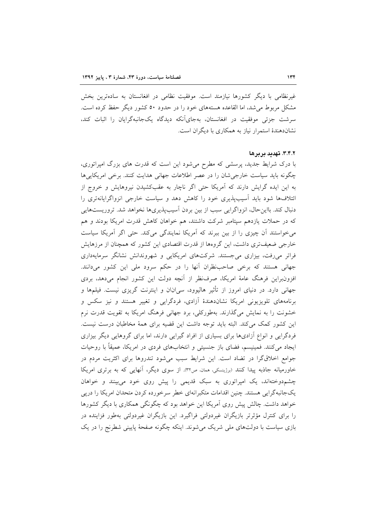غیرنظامی با دیگر کشورها نیازمند است. موفقیت نظامی در افغانستان به سادهترین بخش مشکل مربوط می شد، اما القاعده هستههای خود را در حدود ۵۰ کشور دیگر حفظ کرده است. سرشت جزئی موفقیت در افغانستان، بهجایآنکه دیدگاه یکجانبهگرایان را اثبات کند، نشاندهندهٔ استمرار نیاز به همکاری با دیگران است.

#### ۳.۴.۲. تهدید بربرها

با درک شرایط جدید، پرسشی که مطرح میشود این است که قدرت های بزرگ امپراتوری، چگونه باید سیاست خارجی شان را در عصر اطلاعات جهانی هدایت کنند. برخی امریکاییها به این ایده گرایش دارند که آمریکا حتی اگر ناچار به عقبکشیدن نیروهایش و خروج از ائتلافها شود باید آسیب،پذیری خود را کاهش دهد و سیاست خارجی انزواگرایانهتری را دنبال کند. بااینحال، انزواگرایی سبب از بین بردن آسیبپذیریها نخواهد شد. تروریستهایی که در حملات یازدهم سیتامبر شرکت داشتند، هم خواهان کاهش قدرت امریکا بودند و هم می خواستند آن چیزی را از بین ببرند که آمریکا نمایندگی می کند. حتی اگر آمریکا سیاست خارجی ضعیفتری داشت، این گروهها از قدرت اقتصادی این کشور که همچنان از مرزهایش فراتر میرفت، بیزاری می جستند. شرکتهای امریکایی و شهروندانش نشانگر سرمایهداری جهانی هستند که برخی صاحب نظران آنها را در حکم سرود ملی این کشور میدانند. افزونبراین فرهنگ عامهٔ امریکا، صرفنظر از أنچه دولت این کشور انجام میدهد، بردی جهانی دارد. در دنیای امروز از تأثیر هالیوود، سیانان و اینترنت گریزی نیست. فیلمها و برنامههای تلویزیونی امریکا نشاندهندهٔ آزادی، فردگرایی و تغییر هستند و نیز سکس و خشونت را به نمایش میگذارند. بهطورکلی، برد جهانی فرهنگ امریکا به تقویت قدرت نرم این کشور کمک میکند. البته باید توجه داشت این قضیه برای همهٔ مخاطبان درست نیست. فردگرایی و انواع آزادیها برای بسیاری از افراد گیرایی دارند، اما برای گروهایی دیگر بیزاری ایجاد میکنند. فمینیسم، فضای باز جنسیتی و انتخابهای فردی در امریکا، عمیقاً با روحیات جوامع اخلاق گرا در تضاد است. این شرایط سبب می شود تندروها برای اکثریت مردم در خاورمیانه جاذبه پیدا کنند (برژینسکی، همان، ص۳۲). از سوی دیگر، آنهایی که به برتری امریکا چشم.دوختهاند، یک امپراتوری به سبک قدیمی را پیش روی خود میبینند و خواهان یکجانبهگرایی هستند. چنین اقدامات متکبرانهای خطر سرخورده کردن متحدان امریکا را درپی خواهد داشت. چالش پیش روی آمریکا این خواهد بود که چگونگی همکاری با دیگر کشورها را برای کنترل مؤثرتر بازیگران غیردولتی فراگیرد. این بازیگران غیردولتی بهطور فزاینده در بازی سیاست با دولتهای ملی شریک می شوند. اینکه چگونه صفحهٔ پایینی شطرنج را در یک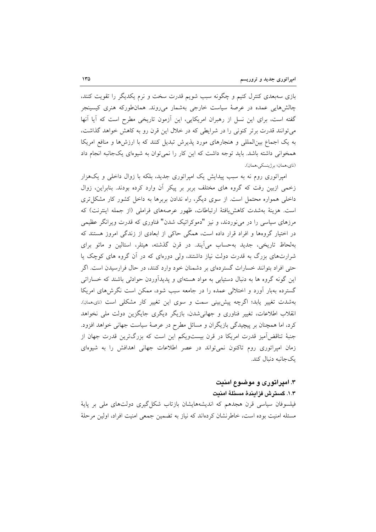بازی سهبعدی کنترل کنیم و چگونه سبب شویم قدرت سخت و نرم یکدیگر را تقویت کنند، چالش هایی عمده در عرصهٔ سیاست خارجی بهشمار میروند. همانطورکه هنری کیسینجر گفته است، برای این نسل از رهبران امریکایی، این أزمون تاریخی مطرح است که أیا أنها می توانند قدرت برتر کنونی را در شرایطی که در خلال این قرن رو به کاهش خواهد گذاشت، به یک اجماع بین المللی و هنجارهای مورد پذیرش تبدیل کنند که با ارزشها و منافع امریکا همخوانی داشته باشد. باید توجه داشت که این کار را نمی توان به شیوهای یک جانبه انجام داد (ناي،همان؛ برژينسكي،همان).

امپراتوری روم نه به سبب پیدایش یک امپراتوری جدید، بلکه با زوال داخلی و یکهزار زخمی ازبین رفت که گروه های مختلف بربر بر پیکر آن وارد کرده بودند. بنابراین، زوال داخلی همواره محتمل است. از سوی دیگر، راه ندادن بربرها به داخل کشور کار مشکل تری است. هزینهٔ بهشدت کاهش یافتهٔ ارتباطات، ظهور عرصههای فراملی (از جمله اینترنت) که مرزهای سیاسی را در می نوردند، و نیز "دموکراتیک شدن" فناوری که قدرت ویرانگر عظیمی در اختیار گروهها و افراد قرار داده است، همگی حاکی از ابعادی از زندگی امروز هستند که بهلحاظ تاریخی، جدید بهحساب می]یند. در قرن گذشته، هیتلر، استالین و مائو برای شرارتهای بزرگ به قدرت دولت نیاز داشتند، ولی دورهای که در آن گروه های کوچک یا حتی افراد بتوانند خسارات گستردهای بر دشمنان خود وارد کنند، در حال فرارسیدن است. اگر این گونه گروه ها به دنبال دستیابی به مواد هستهای و پدیدآوردن حوادثی باشند که خساراتی گسترده بهبار آورد و اختلالی عمده را در جامعه سبب شود، ممکن است نگرشهای امریکا بهشدت تغییر یابد؛ اگرچه پیش بینی سمت و سوی این تغییر کار مشکلی است (نای،همان). انقلاب اطلاعات، تغییر فناوری و جهانی شدن، بازیگر دیگری جایگزین دولت ملی نخواهد کرد، اما همچنان بر پیچیدگی بازیگران و مسائل مطرح در عرصهٔ سیاست جهانی خواهد افزود. جنبهٔ تناقضآمیز قدرت امریکا در قرن بیستویکم این است که بزرگ $ترین قدرت جهان از$ زمان امپراتوری روم تاکنون نمیتواند در عصر اطلاعات جهانی اهدافش را به شیوهای یکجانبه دنبال کند.

## ۳. امپراتوری و موضوع امنیت

# ١.٣. گسترش فزايندهٔ مسئلهٔ امنيت

فیلسوفان سیاسی قرن هجدهم که اندیشههایشان بازتاب شکل گیری دولتهای ملی بر پایهٔ مسئله امنیت بوده است، خاطرنشان کردهاند که نیاز به تضمین جمعی امنیت افراد، اولین مرحلهٔ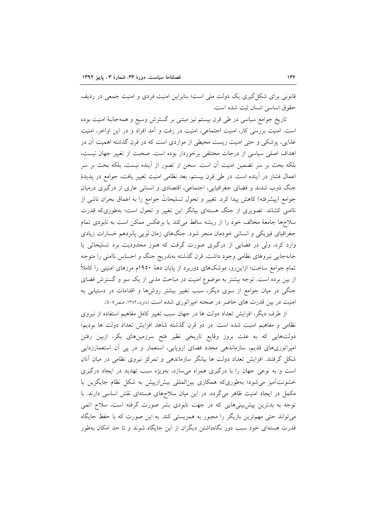قانونی برای شکل گیری یک دولت ملی است؛ بنابراین امنیت فردی و امنیت جمعی در ردیف حقوق اساسی انسان ثبت شده است.

تاریخ جوامع سیاسی در طی قرن بیستم نیز مبتنی بر گسترش وسیع و همهجانبهٔ امنیت بوده است. امنیت بررسی کار، امنیت اجتماعی، امنیت در رفت و آمد افراد و در این اواخر، امنیت غذایی، پزشکی و حتی امنیت زیست محیطی از مواردی است که در قرن گذشته اهمیت آن در اهداف اصلی سیاسی از درجات مختلفی برخوردار بوده است. صحبت از تغییر جهان نیست، بلکه بحث بر سر تضمین امنیت آن است. سخن از تصور از آینده نیست، بلکه بحث بر سر اعمال فشار در آينده است. در طي قرن بيستم، بعد نظامي امنيت تغيير يافت، جوامع در يديدهٔ جنگ ذوب شدند و فضای جغرافیایی، اجتماعی، اقتصادی و انسانی عاری از درگیری درمیان جوامع (پیشرفته) کاهش پیدا کرد. تغییر و تحول تسلیحاتْ جوامع را به اعماق بحران ناشی از ناامنی کشاند. تصویری از جنگ هستهای بیانگر این تغییر و تحول است؛ بهطوریکه قدرت سلاحها جامعهٔ مخالف خود را از ریشه ساقط میکند یا برعکس ممکن است به نابودی تمام جغرافیای فیزیکی و انسانی خودمان منجر شود. جنگهای زمان لویی پانزدهم خسارات زیادی وارد کرد، ولی در فضایی از درگیری صورت گرفت که هنوز محدودیت برد تسلیحاتی یا جابهجایی نیروهای نظامی وجود داشت. قرن گذشته بهتدریج جنگ و احساس ناامنی را متوجه تمام جوامع ساخت؛ ازاین٫رو، موشکهای دوربرد از پایان دههٔ ۱۹۵۰م مرزهای امنیتی را کاملاً از بین برده است. توجه بیشتر به موضوع امنیت در مباحث مدنی از یک سو و گسترش فضای جنگی در میان جوامع از سوی دیگر، سبب تغییر بیشتر روش۵ا و اقدامات در دستیابی به امنیت در بین قدرت های حاضر در صحنه امپراتوری شده است (داوید،۱۳۸۲، صص۵-٤).

از طرف دیگر، افزایش تعداد دولت ها در جهان سبب تغییر کامل مفاهیم استفاده از نیروی نظامی و مفاهیم امنیت شده است. در دو قرن گذشته شاهد افزایش تعداد دولت ها بودیم؛ دولتهایی که به علت بروز وقایع تاریخی نظیر فتح سرزمینهای بکر، ازبین رفتن امپراتوریهای قدیم، سازماندهی مجدد فضای اروپایی، استعمار و در پی آن استعمارزدایی شکل گرفتند. افزایش تعداد دولت ها بیانگر سازماندهی و تمرکز نیروی نظامی در میان آنان است و به نوعی جهان را با درگیری همراه می سازد، بهویژه سبب تهدید در ایجاد درگیری خشونتآمیز میشود؛ بهطوریکه همکاری بینالمللی بیشازپیش به شکل نظام جایگزین یا مکمل در ایجاد امنیت ظاهر میگردد. در این میان سلاحهای هستهای نقش اساسی دارند. با توجه به بدترین پیشبینیهایی که در جهت نابودی بشر صورت گرفته است، سلاح اتمی میتواند حتی مهمترین بازیگر را مجبور به همزیستی کند. به این صورت که با حفظ جایگاه قدرت هستهای خود سبب دور نگاهداشتن دیگران از این جایگاه شوند و تا حد امکان بهطور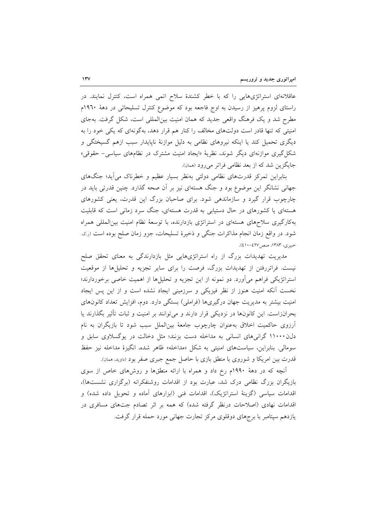عاقلانهای استراتژیهایی را که با خطر کشندهٔ سلاح اتمی همراه است، کنترل نمایند. در راستای لزوم پرهیز از رسیدن به اوج فاجعه بود که موضوع کنترل تسلیحاتی در دههٔ ۱۹٦۰م مطرح شد و یک فرهنگ واقعی جدید که همان امنیت بینالمللی است، شکل گرفت. بهجای امنیتی که تنها قادر است دولتهای مخالف را کنار هم قرار دهد، بهگونهای که یکی خود را به دیگری تحمیل کند یا اینکه نیروهای نظامی به دلیل موازنهٔ ناپایدار سبب ازهم گسیختگی و شکل گیری موازنهای دیگر شوند، نظریهٔ «ایجاد امنیت مشترک در نظامهای سیاسی- حقوقی» جایگزین شد که از بعد نظامی فراتر می رود (ممان).

بنابراین تمرکز قدرتهای نظامی دولتی بهنظر بسیار عظیم و خطرناک می آید؛ جنگهای جهانی نشانگر این موضوع بود و جنگ هستهای نیز بر آن صحه گذارد. چنین قدرتی باید در چارچوب قرار گیرد و سازماندهی شود. برای صاحبان بزرگ این قدرت، یعنی کشورهای هستهای یا کشورهای در حال دستیابی به قدرت هستهای، جنگ سرد زمانی است که قابلیت بهکارگیری سلاحهای هستهای در استراتژی بازدارنده، با توسعهٔ نظام امنیت بینالمللی همراه شود. در واقع زمان انجام مذاکرات جنگی و ذخیرهٔ تسلیحات، جزو زمان صلح بوده است (ر.<sup>ی</sup>. خبيري، ١٣٨٣، صص٤٢٧-٤١٠.

مدیریت تهدیدات بزرگ از راه استراتژیهایی مثل بازدارندگی به معنای تحقق صلح نیست. فراتررفتن از تهدیدات بزرگ، فرصت را برای سایر تجزیه و تحلیلها از موقعیت استراتژیکی فراهم میآورد. دو نمونه از این تجزیه و تحلیلها از اهمیت خاصی برخوردارند؛ نخست أنكه امنیت هنوز از نظر فیزیکی و سرزمینی ایجاد نشده است و از این پس ایجاد امنیت بیشتر به مدیریت جهان درگیریها (فراملی) بستگی دارد. دوم، افزایش تعداد کانونهای بحرانزاست. این کانونها در نزدیکی قرار دارند و میتوانند بر امنیت و ثبات تأثیر بگذارند یا آرزوی حاکمیت اخلاق بهعنوان چارچوب جامعهٔ بینالملل سبب شود تا بازیگران به نام دلن ۱۱۰۰۰ گرانی های انسانی به مداخله دست بزنند؛ مثل دخالت در یوگسلاوی سابق و سومالي. بنابراين، سياستهاى امنيتي به شكل «مداخله» ظاهر شده، انگيزهٔ مداخله نيز حفظ قدرت بین امریکا و شوروی با منطق بازی با حاصل جمع جبری صفر بود (داوید. همان).

آنچه که در دههٔ ۱۹۹۰م رخ داد و همراه با ارائه منطقها و روشهای خاص از سوی بازیگران بزرگ نظامی درک شد، عبارت بود از اقدامات روشنفکرانه (برگزاری نشستها)، اقدامات سیاسی (گزینهٔ استراتژیک)، اقدامات فنی (ابزارهای آماده و تحویل داده شده) و اقدامات نهادی (اصلاحات درنظر گرفته شده) که همه بر اثر تصادم جتهای مسافری در یازدهم سپتامبر با برجهای دوقلوی مرکز تجارت جهانی مورد حمله قرار گرفت.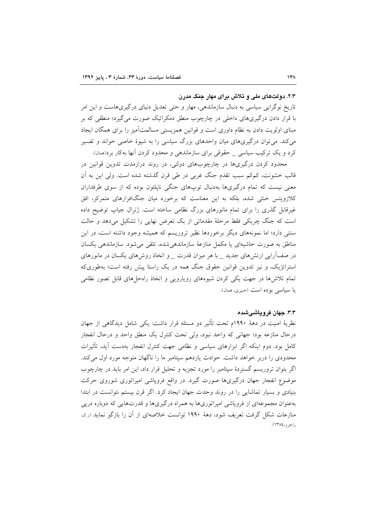### ۲.۳. دولتهای ملی و تلاش برای مهار جنگ مدرن

تاریخ نوگرایی سیاسی به دنبال سازماندهی، مهار و حتی تعدیل دنیای درگیریهاست و این امر با قرار دادن درگیریهای داخلی در چارچوب منطق دمکراتیک صورت میگیرد؛ منطقی که بر مبنای اولویت دادن به نظام داوری است و قوانین همزیستی مسالمتآمیز را برای همگان ایجاد می کند. می توان درگیریهای میان واحدهای بزرگ سیاسی را به شیوهٔ خاصی خواند و تفسیر کرد و یک ترکیب سیاسی \_ حقوقی برای سازماندهی و محدود کردن آنها بهکار برد(همان).

محدود کردن درگیریها در چارچوبهای دولتی، در روند درازمدت تدوین قوانین در قالب خشونت، کمکم سبب تقدم جنگ غربی در طی قرن گذشته شده است. ولی این به آن معنی نیست که تمام درگیریها بهدنبال توپهای جنگی ناپلئون بوده که از سوی طرفداران کلازویتس خنثی شده، بلکه به این معناست که برخورد میان جنگافزارهای متمرکز، افق غیرقابل گذری را برای تمام مانورهای بزرگ نظامی ساخته است. ژنرال جیاب توضیح داده است که جنگ چریکم فقط مرحلهٔ مقدماتی از یک تعرض نهایی را تشکیل میدهد و حالت سنتی دارد؛ اما نمونههای دیگر برخوردها نظیر تروریسم که همیشه وجود داشته است، در این مناطق به صورت حاشیهای یا مکمل منازعهٔ سازماندهیشده، تلقی می شود. سازماندهی یکسان در صفآرایی ارتشهای جدید \_ با هر میزان قدرت \_ و اتخاذ روشهای یکسان در مانورهای استراتژیک، و نیز تدوین قوانین حقوق جنگ همه در یک راستا پیش رفته است؛ بهطوری که تمام تلاشها در جهت یکی کردن شیوههای رویارویی و اتخاذ راهحلهای قابل تصور نظامی يا سياسي بوده است (خبيري، همان).

### ۳.۳. جهان فروپاشیشده

نظریهٔ امنیت در دههٔ ۱۹۹۰م تحت تأثیر دو مسئله قرار داشت: یکی شامل دیدگاهی از جهان درحال منازعه بود؛ جهاني كه واحد نبود، ولي تحت كنترل يك منطق واحد و درحال انفجار کامل بود. دوم اینکه اگر ابزارهای سیاسی و نظامی جهت کنترل انفجار بهدست آید، تأثیرات محدودی را دربر خواهد داشت. حوادث یازدهم سپتامبر ما را ناگهان متوجه مورد اول میکند. اگر بتوان تروریسم گستردهٔ سپتامبر را مورد تجزیه و تحلیل قرار داد، این امر باید در چارچوب موضوع انفجار جهان درگیریها صورت گیرد. در واقع فروپاشی امپراتوری شوروی حرکت بنیادی و بسیار تماشایی را در روند وحدت جهان ایجاد کرد. اگر قرن بیستم نتوانست در ابتدا بهعنوان مجموعهای از فروپاشی امپراتوریها به همراه درگیریها و قدرتهایی که دوباره درپی منازعات شکل گرفت تعریف شود، دههٔ ۱۹۹۰ توانست خلاصهای از آن را بازگو نماید (ر.ک. راجرز، ١٣٨٤).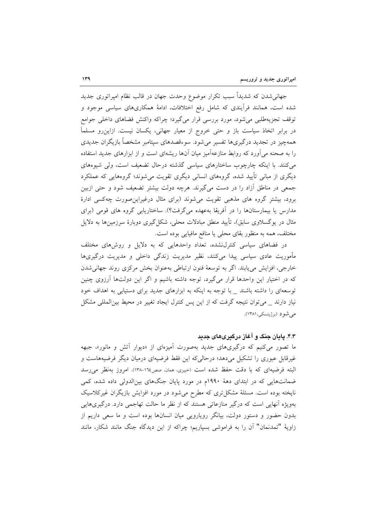جهانی شدن که شدیداً سبب تکرار موضوع وحدت جهان در قالب نظام امیراتوری جدید شده است، همانند فرأیندی که شامل رفع اختلافات، ادامهٔ همکاریهای سیاسی موجود و توقف تجزیهطلبی میشود، مورد بررسی قرار میگیرد؛ چراکه واکنش فضاهای داخلی جوامع در برابر اتخاذ سیاست باز و حتی خروج از معیار جهانی، یکسان نیست. ازاین رو مسلماً همهچیز در تجدید درگیریها تفسیر میشود. سوءقصدهای سپتامبر مشخصاً بازیگران جدیدی را به صحنه می آورد که روابط منازعهآمیز میان آنها ریشهای است و از ابزارهای جدید استفاده می کنند. با اینکه چارچوب ساختارهای سیاسی گذشته درحال تضعیف است، ولی شیوههای دیگری از مبانی تأیید شده، گروههای انسانی دیگری تقویت میشوند؛ گروههایی که عملکرد جمعی در مناطق آزاد را در دست میگیرند. هرچه دولت بیشتر تضعیف شود و حتی ازبین برود، بیشتر گروه های مذهبی تقویت می شوند (برای مثال درغیراین صورت چهکسی ادارهٔ مدارس یا بیمارستانها را در آفریقا بهعهده می گرفت؟). ساختاریابی گروه های قومی (برای مثال در یوگسلاوی سابق)، تأیید منطق مبادلات محلی، شکل گیری دوبارهٔ سرزمینها به دلایل مختلف، همه به منظور بقای محلی یا منافع مافیایی بوده است.

در فضاهای سیاسی کنترلنشده، تعداد واحدهایی که به دلایل و روشهای مختلف مأموریت عادی سیاسی پیدا میکنند، نظیر مدیریت زندگی داخلی و مدیریت درگیریها خارجي، افزايش مي يابند. اگر به توسعهٔ فنون ارتباطي بهعنوان بخش مركزي روند جهاني شدن که در اختیار این واحدها قرار میگیرد، توجه داشته باشیم و اگر این دولتها آرزوی چنین توسعهای را داشته باشند \_ با توجه به اینکه به ابزارهای جدید برای دستیابی به اهداف خود نیاز دارند \_ می توان نتیجه گرفت که از این پس کنترل ایجاد تغییر در محیط بینالمللی مشکل می شود (برژینسکی،۱۳۸۱).

# ۴.۳. پایان جنگ و آغاز درگیریهای جدید

ما تصور میکنیم که درگیریهای جدید بهصورت آمیزهای از «دیوار اَتش و مانور»، جبهه غیرقابل عبوری را تشکیل میدهد؛ درحالی که این فقط فرضیهای درمیان دیگر فرضیههاست و البته فرضيهاي كه با دقت حفظ شده است (حبيري، همان، صص١٦٤-١٣٨). امروز بهنظر مى رسد ضمانتهایی که در ابتدای دههٔ ۱۹۹۰م در مورد پایان جنگهای بینالدولی داده شده، کمی ناپخته بوده است. مسئلهٔ مشکلتری که مطرح میشود در مورد افزایش بازیگران غیرکلاسیک بهویژه آنهایی است که درگیر منازعاتی هستند که از نظر ما حالت تهاجمی دارد. درگیریهایی بدون حضور و دستور دولت، بیانگر رویارویی میان انسانها بوده است و ما سعی داریم از زاويهٔ "تمدنمان" آن را به فراموشي بسياريم؛ چراكه از اين ديدگاه جنگ مانند شكار، مانند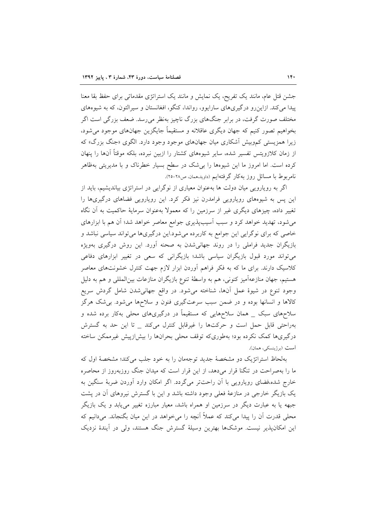جشن قتل عام، مانند یک تفریح، یک نمایش و مانند یک استراتژی مقدماتی برای حفظ بقا معنا پیدا می کند. ازاین رو درگیری های سارایوو، رواندا، کنگو، افغانستان و سپرالئون، که به شیوههای مختلف صورت گرفت، در برابر جنگهای بزرگ ناچیز بهنظر میرسد. ضعف بزرگی است اگر بخواهیم تصور کنیم که جهان دیگری عاقلانه و مستقیماً جایگزین جهانهای موجود می شود، زیرا همزیستی کموبیش آشکاری میان جهانهای موجود وجود دارد. الگوی «جنگ بزرگ» که از زمان کلازویتس تفسیر شده، سایر شیوههای کشتار را ازبین نبرده، بلکه موقتاً آنها را پنهان کرده است. اما امروز ما این شیوهها را بیشک در سطح بسیار خطرناک و با مدیریتی بهظاهر نامربوط با مسائل روز بهكار گرفتهایم (داوید،همان، ص۲۸-۲۵).

اگر به رویارویی میان دولت ها بهعنوان معیاری از نوگرایی در استراتژی بیاندیشیم، باید از این پس به شیوههای رویارویی فرامدرن نیز فکر کرد. این رویارویی فضاهای درگیریها را تغییر داده، چیزهای دیگری غیر از سرزمین را که معمولاً بهعنوان سرمایهٔ حاکمیت به آن نگاه میشود، تهدید خواهد کرد و سبب آسیبپذیری جوامع معاصر خواهد شد؛ آن هم با ابزارهای خاصی که برای نوگرایی این جوامع به کاربرده میشود.این درگیریها میتواند سیاسی نباشد و بازیگران جدید فراملی را در روند جهانیشدن به صحنه آورد. این روش درگیری بهویژه میتواند مورد قبول بازیگران سیاسی باشد؛ بازیگرانی که سعی در تغییر ابزارهای دفاعی کلاسیک دارند. برای ما که به فکر فراهم آوردن ابزار لازم جهت کنترل خشونتهای معاصر هستيم، جهان منازعهآميز كنوني، هم به واسطهٔ تنوع بازيگران منازعات بينالمللي و هم به دليل وجود تنوع در شیوهٔ عمل آنها، شناخته میشود. در واقع جهانیشدن شامل گردش سریع کالاها و انسانها بوده و در ضمن سبب سرعتگیری فنون و سلاحها می شود. بی شک هرگز سلاحهای سبک \_ همان سلاحهایی که مستقیماً در درگیریهای محلی بهکار برده شده و بهراحتی قابل حمل است و حرکتها را غیرقابل کنترل میکند \_ تا این حد به گسترش درگیریها کمک نکرده بود؛ بهطوریکه توقف محلی بحرانها را بیش(زییش غیرممکن ساخته است (برژينسكي، همان).

بهلحاظ استراتژیک دو مشخصهٔ جدید توجهمان را به خود جلب می کند؛ مشخصهٔ اول که ما را بهصراحت در تنگنا قرار میدهد، از این قرار است که میدان جنگ روزبهروز از محاصره خارج شده،فضای رویارویی با آن راحتتر میگردد. اگر امکان وارد آوردن ضربهٔ سنگین به یک بازیگر خارجی در منازعهٔ فعلی وجود داشته باشد و این با گسترش نیروهای آن در پشت جبهه یا به عبارت دیگر در سرزمین او همراه باشد، معیار مبارزه تغییر می،یابد و یک بازیگر محلی قدرت آن را پیدا میکند که عملاً آنچه را می خواهد در این میان بگنجاند. میدانیم که این امکان پذیر نیست. موشکها بهترین وسیلهٔ گسترش جنگ هستند، ولی در آیندهٔ نزدیک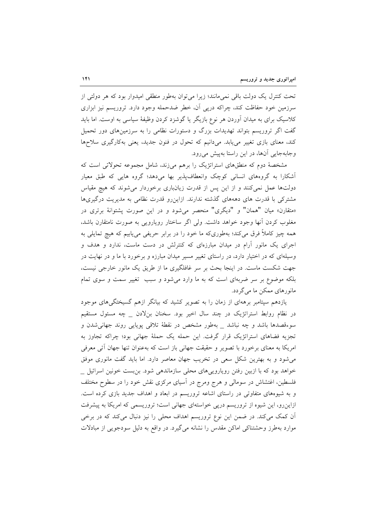تحت کنترل یک دولت باقی نمیمانند؛ زیرا می توان بهطور منطقی امیدوار بود که هر دولتی از سرزمین خود حفاظت کند، چراکه درپی آن، خطر ضدحمله وجود دارد. تروریسم نیز ابزاری کلاسیک برای به میدان اَوردن هر نوع بازیگر یا گوشزد کردن وظیفهٔ سیاسی به اوست. اما باید گفت اگر تروریسم بتواند تهدیدات بزرگ و دستورات نظامی را به سرزمینهای دور تحمیل کند، معنای بازی تغییر مییابد. میدانیم که تحول در فنون جدید، یعنی بهکارگیری سلاحها وجابهجایی أنها، در این راستا بهپیش میرود.

مشخصهٔ دوم که منطقهای استراتژیک را برهم میزند، شامل مجموعه تحولاتی است که آشکارا به گروههای انسانی کوچک وانعطافپذیر بها میدهد؛ گروه هایی که طبق معیار دولتها عمل نمیکنند و از این پس از قدرت زیانباری برخوردار میشوند که هیچ مقیاس مشترکی با قدرت های دهههای گذشته ندارند. ازاین رو قدرت نظامی به مدیریت درگیریها «متقارن» میان "همان" و "دیگری" منحصر می شود و در این صورت پشتوانهٔ برتری در مغلوب کردن أنها وجود خواهد داشت. ولی اگر ساختار رویارویی به صورت نامتقارن باشد، همه چیز کاملاً فرق میکند؛ بهطوریکه ما خود را در برابر حریفی می،یابیم که هیچ تمایلی به اجرای یک مانور آرام در میدان مبارزهای که کنترلش در دست ماست، ندارد و هدف و وسیلهای که در اختیار دارد، در راستای تغییر مسیر میدان مبارزه و برخورد با ما و در نهایت در جهت شکست ماست. در اینجا بحث بر سر غافلگیری ما از طریق یک مانور خارجی نیست، بلکه موضوع بر سر ضربهای است که به ما وارد میشود و سبب تغییر سمت و سوی تمام مانورهای ممکن ما میگردد.

یازدهم سپتامبر برههای از زمان را به تصویر کشید که بیانگر ازهم گسیختگیهای موجود در نظام روابط استراتژیک در چند سال اخیر بود. سخنان بنلادن \_ چه مسئول مستقیم سوءقصدها باشد و چه نباشد \_ بهطور مشخص در نقطهٔ تلاقی پویایی روند جهانی شدن و تجزیه فضاهای استراتژیک قرار گرفت. این حمله یک حملهٔ جهانی بود؛ چراکه تجاوز به امریکا به معنای برخورد با تصویر و حقیقت جهانی باز است که بهعنوان تنها جهان آتی معرفی می شود و به بهترین شکل سعی در تخریب جهان معاصر دارد. اما باید گفت مانوری موفق خواهد بود که با ازبین رفتن رویارویی های محلی سازماندهی شود. بن بست خونین اسرائیل \_ فلسطین، اغتشاش در سومالی و هرج ومرج در آسیای مرکزی نقش خود را در سطوح مختلف و به شیوههای متفاوتی در راستای اشاعه تروریسم در ابعاد و اهداف جدید بازی کرده است. ازاینرو، این شیوه از تروریسم درپی خواستهای جهانی است؛ تروریسمی که امریکا به پیشرفت آن کمک میکند. در ضمن این نوع تروریسم اهداف محلی را نیز دنبال میکند که در برخی موارد بهطرز وحشتناکی اماکن مقدس را نشانه می گیرد. در واقع به دلیل سودجویی از مبادلات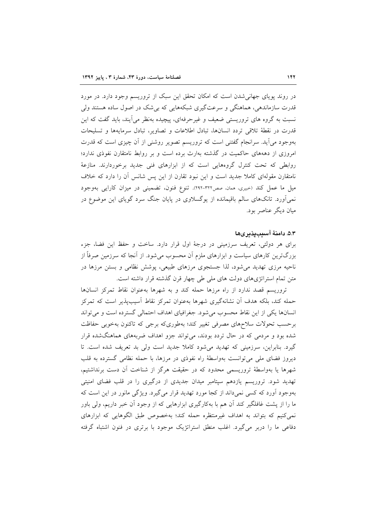در روند پویای جهانی شدن است که امکان تحقق این سبک از تروریسم وجود دارد. در مورد قدرت سازماندهی، هماهنگی و سرعتگیری شبکههایی که بی شک در اصول ساده هستند ولی نسبت به گروه های تروریستی ضعیف و غیرحرفهای، پیچیده بهنظر می آیند، باید گفت که این قدرت در نقطهٔ تلاقی تردد انسانها، تبادل اطلاعات و تصاویر، تبادل سرمایهها و تسلیحات بهوجود می]ید. سرانجام گفتنی است که تروریسم تصویر روشنی از آن چیزی است که قدرت امروزی از دهههای حاکمیت در گذشته بهارث برده است و بر روابط نامتقارن نفوذی ندارد؛ روابطی که تحت کنترل گروههایی است که از ابزارهای فنی جدید برخوردارند. منازعهٔ نامتقارن مقولهای کاملا جدید است و این نبود تقارن از این پس شانس آن را دارد که خلاف میل ما عمل کند (خبیری، ممان، صص٣٢٦-٢٩٢). تنوع فنون، تضمینی در میزان کارایی بهوجود نمی آورد. تانکهای سالم باقیمانده از یوگسلاوی در پایان جنگ سرد گویای این موضوع در ميان ديگر عناصر بود.

# ٥.٣. دامنهٔ آسیبینیریها

برای هر دولتی، تعریف سرزمینی در درجهٔ اول قرار دارد. ساخت و حفظ این فضا، جزء بزرگترین کارهای سیاست و ابزارهای ملزم آن محسوب میشود. از آنجا که سرزمین صرفاً از ناحیه مرزی تهدید میشود، لذا جستجوی مرزهای طبیعی، پوشش نظامی و بستن مرزها در متن تمام استراتژیهای دولت های ملی طی چهار قرن گذشته قرار داشته است.

تروریسم قصد ندارد از راه مرزها حمله کند و به شهرها بهعنوان نقاط تمرکز انسانها حمله کند، بلکه هدف آن نشانهگیری شهرها بهعنوان تمرکز نقاط آسیبپذیر است که تمرکز انسانها یکی از این نقاط محسوب می شود. جغرافیای اهداف احتمالی گسترده است و می تواند برحسب تحولات سلاحهای مصرفی تغییر کند؛ بهطوریکه برجی که تاکنون بهخوبی حفاظت شده بود و مردمی که در حال تردد بودند، می تواند جزو اهداف ضربههای هماهنگشده قرار گیرد. بنابراین، سرزمینی که تهدید میشود کاملا جدید است ولی بد تعریف شده است. تا دیروز فضای ملی می توانست بهواسطهٔ راه نفوذی در مرزها، با حمله نظامی گسترده به قلب شهرها یا بهواسطهٔ تروریسمی محدود که در حقیقت هرگز از شناخت آن دست برنداشتیم، تهدید شود. تروریسم یازدهم سپتامبر میدان جدیدی از درگیری را در قلب فضای امنیتی بهوجود اّورد که کسی نمیداند از کجا مورد تهدید قرار میگیرد. ویژگی مانور در این است که ما را از پشت غافلگیر کند آن هم با بهکارگیری ابزارهایی که از وجود آن خبر داریم، ولی باور نمي كنيم كه بتواند به اهداف غيرمنتظره حمله كند؛ بهخصوص طبق الگوهايي كه ابزارهاي دفاعی ما را دربر می گیرد. اغلب منطق استراتژیک موجود با برتری در فنون اشتباه گرفته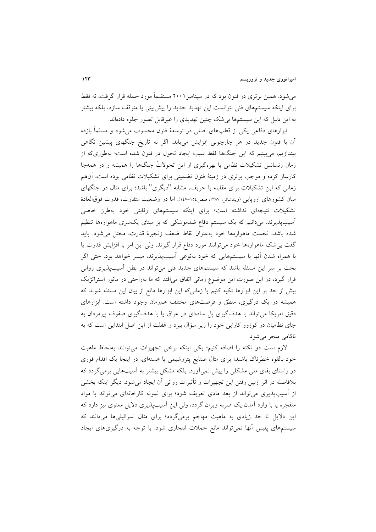میشود. همین برتری در فنون بود که در سپتامبر ۲۰۰۱ مستقیماً مورد حمله قرار گرفت، نه فقط برای اینکه سیستمهای فنی نتوانست این تهدید جدید را پیش بینی یا متوقف سازد، بلکه بیشتر به این دلیل که این سیستمها بی شک چنین تهدیدی را غیرقابل تصور جلوه دادهاند.

ابزارهای دفاعی یکی از قطبهای اصلی در توسعهٔ فنون محسوب میشود و مسلماً بازده آن با فنون جدید در هر چارچوبی افزایش مییابد. اگر به تاریخ جنگهای پیشین نگاهی بیندازیم، می بینیم که این جنگها فقط سبب ایجاد تحول در فنون شده است؛ بهطوریکه از زمان رنسانس تشکیلات نظامی با بهرهگیری از این تحولاتْ جنگها را همیشه و در همهجا کارساز کرده و موجب برتری در زمینهٔ فنون تضمینی برای تشکیلات نظامی بوده است، آنهم زمانی که این تشکیلات برای مقابله با حریف، مشابه "دیگری" باشد؛ برای مثال در جنگهای میان کشورهای اروپایی (ویندشاتل، ۱۳۸۷، صص١٤٤-١٤٧). اما در وضعیت متفاوت، قدرت فوقالعادة تشکیلات نتیجهای نداشته است؛ برای اینکه سیستمهای رقابتی خود بهطرز خاصی اسیبپذیرند. میدانیم که یک سیستم دفاع ضدموشکی که بر مبنای یکسری ماهوارهها تنظیم شده باشد، نخست ماهوارهها خود بهعنوان نقاط ضعف زنجيرة قدرت، مختل مي شود. بايد گفت بی شک ماهوارهها خود می توانند مورد دفاع قرار گیرند. ولی این امر با افزایش قدرت یا با همراه شدن آنها با سیستمهایی که خود بهنوعی آسیبپذیرند، میسر خواهد بود. حتی اگر بحث بر سر این مسئله باشد که سیستمهای جدید فنی میتواند در بطن آسیبپذیری روانی قرار گیرد، در این صورت این موضوع زمانی اتفاق میافتد که ما بهراحتی در مانور استراتژیک بیش از حد بر این ابزارها تکیه کنیم یا زمانیکه این ابزارها مانع از بیان این مسئله شوند که همیشه در یک درگیری، منطق و فرصتهای مختلف همزمان وجود داشته است. ابزارهای دقیق امریکا میتواند با هدفگیری پل سادهای در عراق یا با هدفگیری صفوف پیرمردان به جای نظامیان در کوزوو کارایی خود را زیر سؤال ببرد و غفلت از این اصل ابتدایی است که به ناکامی منجر میشود.

لازم است دو نکته را اضافه کنیم؛ یکی اینکه برخی تجهیزات میتوانند بهلحاظ ماهیت خود بالقوه خطرناک باشند؛ برای مثال صنایع پتروشیمی یا هستهای. در اینجا یک اقدام فوری در راستای بقای ملی مشکلی را پیش نمی آورد، بلکه مشکل بیشتر به آسیبهایی برمی گردد که بلافاصله در اثر ازبین رفتن این تجهیزات و تأثیرات روانی آن ایجاد میشود. دیگر اینکه بخشی از آسیبپذیری می تواند از بعد مادی تعریف شود؛ برای نمونه کارخانهای می تواند با مواد منفجره یا با وارد آمدن یک ضربه ویران گردد، ولی این آسیب،یذیری دلایل معنوی نیز دارد که این دلایل تا حد زیادی به ماهیت مهاجم برمیگردد؛ برای مثال اسرائیلیها میدانند که سیستمهای پلیس آنها نمی تواند مانع حملات انتحاری شود. با توجه به درگیریهای ایجاد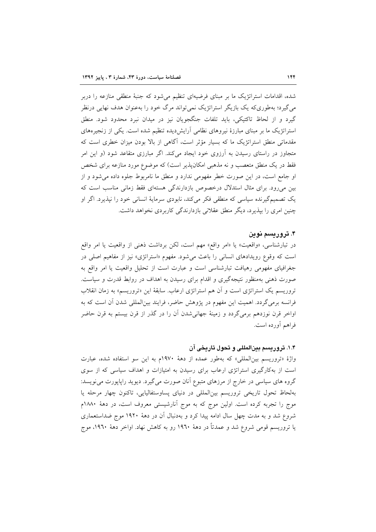شده، اقدامات استراتژیک ما بر مبنای فرضیهای تنظیم میشود که جنبهٔ منطقی منازعه را دربر می گیرد؛ بهطوری که یک بازیگر استراتژیک نمی تواند مرگ خود را بهعنوان هدف نهایی درنظر گیرد و از لحاظ تاکتیکی، باید تلفات جنگجویان نیز در میدان نبرد محدود شود. منطق استراتژیک ما بر مبنای مبارزهٔ نیروهای نظامی آرایش دیده تنظیم شده است. یکی از زنجیرههای مقدماتی منطق استراتژیک ما که بسیار مؤثر است، آگاهی از بالا بودن میزان خطری است که متجاوز در راستای رسیدن به آرزوی خود ایجاد میکند. اگر مبارزی متقاعد شود (و این امر فقط در یک منطق متعصب و نه مذهبی امکانپذیر است) که موضوع مورد منازعه برای شخص او جامع است، در این صورت خطر مفهومی ندارد و منطق ما نامربوط جلوه داده می شود و از بین میرود. برای مثال استدلال درخصوص بازدارندگی هستهای فقط زمانی مناسب است که یک تصمیمگیرنده سیاسی که منطقی فکر میکند، نابودی سرمایهٔ انسانی خود را نیذیرد. اگر او چنین امری را بیذیرد، دیگر منطق عقلانی بازدارندگی کاربردی نخواهد داشت.

# ۴. تروریسم نوین

در تبارشناسی، «واقعیت» یا «امر واقع» مهم است، لکن برداشت ذهنی از واقعیت یا امر واقع است که وقوع رویدادهای انسانی را باعث میشود. مفهوم «استراتژی» نیز از مفاهیم اصلی در جغرافیای مفهومی رهیافت تبارشناسی است و عبارت است از تحلیل واقعیت یا امر واقع به صورت ذهنی بهمنظور نتیجهگیری و اقدام برای رسیدن به اهداف در روابط قدرت و سیاست. تروریسم یک استراتژی است و آن هم استراتژی ارعاب. سابقهٔ این «تروریسم» به زمان انقلاب فرانسه برمیگردد. اهمیت این مفهوم در پژوهش حاضر، فرایند بینالمللی شدن آن است که به اواخر قرن نوزدهم برمیگردد و زمینهٔ جهانیشدن آن را در گذر از قرن بیستم به قرن حاضر فراهم أورده است.

# ۱.۴. تروریسم بینالمللی و تحول تاریخی آن

واژهٔ «تروریسم بین المللی» که بهطور عمده از دههٔ ۱۹۷۰م به این سو استفاده شده، عبارت است از بهکارگیری استراتژی ارعاب برای رسیدن به امتیازات و اهداف سیاسی که از سوی گروه های سیاسی در خارج از مرزهای متبوع آنان صورت میگیرد. دیوید راپاپورت می نویسد: بهلحاظ تحول تاريخي تروريسم بين المللي در دنياي پساوستفاليايي، تاكنون چهار مرحله يا موج را تجربه کرده است. اولین موج که به موج آنارشیستی معروف است، در دههٔ ۱۸۸۰م شروع شد و به مدت چهل سال ادامه پیدا کرد و بهدنبال آن در دههٔ ۱۹۲۰ موج ضداستعماری یا تروریسم قومی شروع شد و عمدتاً در دههٔ ۱۹۶۰ رو به کاهش نهاد. اواخر دههٔ ۱۹۶۰، موج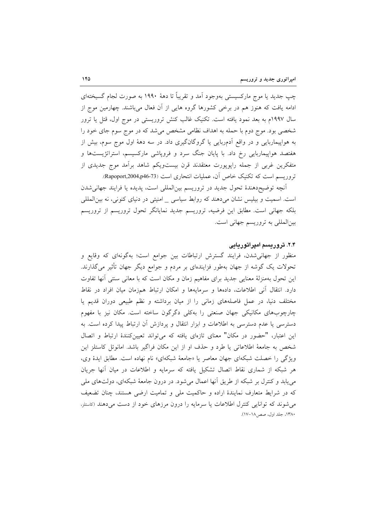چپ جدید یا موج مارکسیستی بهوجود آمد و تقریباً تا دههٔ ۱۹۹۰ به صورت لجام گسیختهای ادامه یافت که هنوز هم در برخی کشورها گروه هایی از آن فعال میباشند. چهارمین موج از سال ۱۹۹۷م به بعد نمود یافته است. تکنیک غالب کنش تروریستی در موج اول، قتل یا ترور شخصی بود. موج دوم با حمله به اهداف نظامی مشخص می شد که در موج سوم جای خود را به هواپیماربایی و در واقع آدمربایی یا گروگانگیری داد. در سه دههٔ اولِ موج سوم، بیش از هفتصد هواپیماربایی رخ داد. با پایان جنگ سرد و فروپاشی مارکسیسم، استراتژیستها و متفکرین غربی از جمله راپویورت معتقدند قرن بیستویکم شاهد برآمد موج جدیدی از تروریسم است که تکنیک خاص آن، عملیات انتحاری است (Rapoport,2004,p46-73).

آنچه توضیحدهندهٔ تحول جدید در تروریسم بینالمللی است، پدیده یا فرایند جهانی شدن است. اسمیت و بیلیس نشان میدهند که روابط سیاسی \_ امنیتی در دنیای کنونی، نه بین المللی بلکه جهانی است. مطابق این فرضیه، تروریسم جدید نمایانگر تحول تروریسم از تروریسم بینالمللی به تروریسم جهانی است.

## ۲.۴. تروریسم امپراتوریایی

منظور از جهانی شدن، فرایند گسترش ارتباطات بین جوامع است؛ بهگونهای که وقایع و تحولات یک گوشه از جهان بهطور فزایندهای بر مردم و جوامع دیگر جهان تأثیر می گذارند. این تحول بهمنزلهٔ معنایی جدید برای مفاهیم زمان و مکان است که با معانی سنتی أنها تفاوت دارد. انتقال أنَّى اطلاعات، دادهها و سرمايهها و امكان ارتباط همزمان ميان افراد در نقاط مختلف دنیا، در عمل فاصلههای زمانی را از میان برداشته و نظم طبیعی دوران قدیم یا چارچوبهای مکانیکی جهان صنعتی را بهکلی دگرگون ساخته است. مکان نیز با مفهوم دسترسی یا عدم دسترسی به اطلاعات و ابزار انتقال و پردازش آن ارتباط پیدا کرده است. به این اعتبار، "حضور در مکان" معنای تازهای یافته که می تواند تعیین کنندهٔ ارتباط و اتصال شخص به جامعهٔ اطلاعاتی یا طرد و حذف او از این مکان فراگیر باشد. امانوئل کاستلز این ویژگی را خصلت شبکهای جهان معاصر یا «جامعهٔ شبکهای» نام نهاده است. مطابق ایدهٔ وی، هر شبکه از شماری نقاط اتصال تشکیل یافته که سرمایه و اطلاعات در میان آنها جریان می یابد و کنترل بر شبکه از طریق أنها اعمال میشود. در درون جامعهٔ شبکهای، دولتهای ملی که در شرایط متعارف نمایندهٔ اراده و حاکمیت ملی و تمامیت ارضی هستند، چنان تضعیف می شوند که توانایی کنترل اطلاعات یا سرمایه را درون مرزهای خود از دست می دهند (کاستلز، ۱۳۸۰، جلد اول، صص ۱۸-۱۷).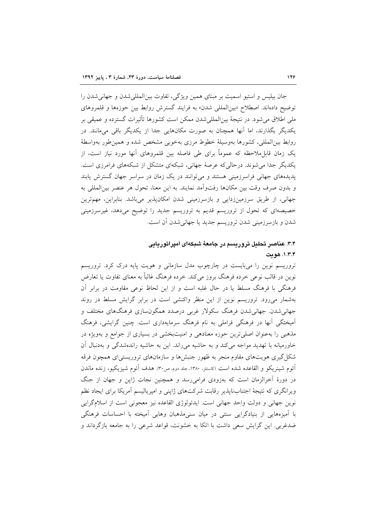جان بیلیس و استیو اسمیت بر مبنای همین ویژگی، تفاوت بین المللی شدن و جهانی شدن را توضيح دادهاند. اصطلاح «بين|لمللي شدن» به فرايند گسترش روابط بين حوزهها و قلمروهاي ملی اطلاق میشود. در نتیجهٔ بین|لمللیشدن ممکن است کشورها تأثیرات گسترده و عمیقی بر یکدیگر بگذارند، اما آنها همچنان به صورت مکانهایی جدا از یکدیگر باقی میمانند. در روابط بین|لمللی، کشورها بهوسیلهٔ خطوط مرزی بهخوبی مشخص شده و همین طور بهواسطهٔ یک زمان قابل.ملاحظه که عموماً برای طی فاصله بین قلمروهای آنها مورد نیاز است، از یکدیگر جدا می شوند. درحالی که عرصهٔ جهانی، شبکهای متشکل از شبکههای فرامرزی است. پدیدههای جهانی فراسرزمینی هستند و می توانند در یک زمان در سراسر جهان گسترش پابند و بدون صرف وقت بین مکانها رفتواًمد نمایند. به این معنا، تحول هر عنصر بینالمللی به جهانی، از طریق سرزمینزدایی و بازسرزمینی شدن امکانپذیر میباشد. بنابراین، مهمترین خصیصهای که تحول از تروریسم قدیم به تروریسم جدید را توضیح میدهد، غیرسرزمینی شدن و بازسرزمینی شدن تروریسم جدید یا جهانیشدن آن است.

# ۳.۴. عناصر تحلیل تروریسم در جامعهٔ شبکهای امپراتوریایی ۰۱.۳.۴ هوست

تروریسم نوین را میبایست در چارچوب مدل سازمانی و هویت پایه درک کرد. تروریسم نوین در قالب نوعی خرده فرهنگ بروز میکند. خرده فرهنگ غالباً به معنای تفاوت یا تعارض فرهنگی با فرهنگ مسلط یا در حال غلبه است و از این لحاظ نوعی مقاومت در برابر آن بهشمار می رود. تروریسم نوین از این منظر واکنشی است در برابر گرایش مسلط در روند جهانی شدن. جهانی شدنِ فرهنگ سکولار غربی درصدد همگون سازی فرهنگهای مختلف و آمیختگی آنها در فرهنگی فراملی به نام فرهنگ سرمایهداری است. چنین گرایشی، فرهنگ مذهبی را بهعنوان اصلی ترین حوزه معنادهی و امنیتبخشی در بسیاری از جوامع و بهویژه در خاورمیانه با تھدید مواجه می کند و به حاشیه می راند. این به حاشیه راندهشدگی و بهدنبال آن شکل گیری هویتهای مقاوم منجر به ظهور جنبشها و سازمانهای تروریستی ای همچون فرقه اَئوم شینریکو و القاعده شده است (کاستلز، ۱۳۸۰، جلد دوم، ص۳۰). هدف اَئوم شیزیکیو، زنده ماندن در دورهٔ آخرالزمان است که بهزودی فرامی رسد و همچنین نجات ژاپن و جهان از جنگ ویرانگری که نتیجهٔ اجتنابنایذیر رقابت شرکتهای ژاپنی و امیرپالیسم آمریکا برای ایجاد نظم نوين جهاني و دولت واحد جهاني است. ايدئولوژي القاعده نيز معجوني است از اسلامگرايي با آمیزههایی از بنیادگرایی سنتی در میان سنیمذهبان وهابی آمیخته با احساسات فرهنگی ضدغربی. این گرایش سعی داشت با اتکا به خشونت، قواعد شرعی را به جامعه بازگرداند و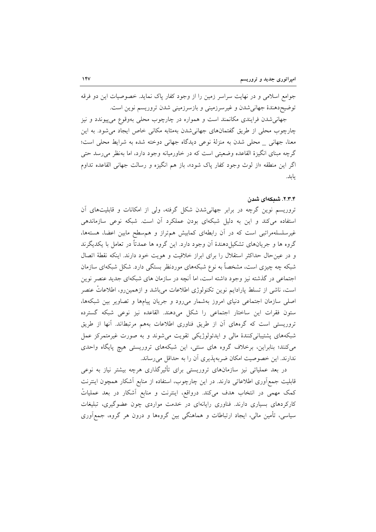جوامع اسلامی و در نهایت سراسر زمین را از وجود کفار پاک نماید. خصوصیات این دو فرقه توضیح دهندهٔ جهانی شدن و غیرسرزمینی و بازسرزمینی شدن تروریسم نوین است.

جهانی شدن فرایندی مکانمند است و همواره در چارچوب محلی بهوقوع میپیوندد و نیز چارچوب محلی از طریق گفتمانهای جهانی شدن بهمثابه مکانی خاص ایجاد می شود. به این معنا، جهاني \_ محلي شدن به منزلة نوعي ديدگاه جهاني دوخته شده به شرايط محلي است؛ گرچه مبنای انگیزهٔ القاعده وضعیتی است که در خاورمیانه وجود دارد، اما بهنظر می رسد حتی اگر این منطقه «از لوث وجود کفار پاک شود»، باز هم انگیزه و رسالت جهانی القاعده تداوم ىاىد.

## ۲.۳.۴. شبکهای شدن

تروریسم نوین گرچه در برابر جهانی شدن شکل گرفته، ولی از امکانات و قابلیتهای اَن استفاده می کند و این به دلیل شبکهای بودن عملکرد آن است. شبکه نوعی سازماندهی غیرسلسلهمراتبی است که در آن رابطهای کمابیش همتراز و هم سطح مابین اعضا، هستهها، گروه ها و جریانهای تشکیلدهندهٔ آن وجود دارد. این گروه ها عمدتاً در تعامل با یکدیگرند و در عین حال حداکثر استقلال را برای ابراز خلاقیت و هویت خود دارند. اینکه نقطهٔ اتصال شبکه چه چیزی است، مشخصاً به نوع شبکههای موردنظر بستگی دارد. شکل شبکهای سازمان اجتماعی در گذشته نیز وجود داشته است، اما آنچه در سازمان های شبکهای جدید عنصر نوین است، ناشی از تسلط پارادایم نوین تکنولوژی اطلاعات میباشد و ازهمینرو، اطلاعاتْ عنصر اصلی سازمان اجتماعی دنیای امروز بهشمار میرود و جریان پیامها و تصاویر بین شبکهها، ستون فقرات این ساختار اجتماعی را شکل میدهند. القاعده نیز نوعی شبکه گسترده تروریستی است که گرههای آن از طریق فناوری اطلاعات بههم مرتبطاند. آنها از طریق شبکههای پشتیبانیکنندهٔ مالی و ایدئولوژیکی تقویت میشوند و به صورت غیرمتمرکز عمل می کنند؛ بنابراین، برخلاف گروه های سنتی، این شبکههای تروریستی هیچ پایگاه واحدی ندارند. این خصوصیت امکان ضربه پذیری آن را به حداقل می رساند.

در بعد عملیاتی نیز سازمانهای تروریستی برای تأثیرگذاری هرچه بیشتر نیاز به نوعی قابلیت جمع[وری اطلاعاتی دارند. در این چارچوب، استفاده از منابع آشکار همچون اینترنت کمک مهمی در انتخاب هدف میکند. درواقع، اینترنت و منابع آشکار در بعد عملیاتْ کارکردهای بسیاری دارند. فناوری رایانهای در خدمت مواردی چون عضوگیری، تبلیغات سیاسی، تأمین مالی، ایجاد ارتباطات و هماهنگی بین گروهها و درون هر گروه، جمعآوری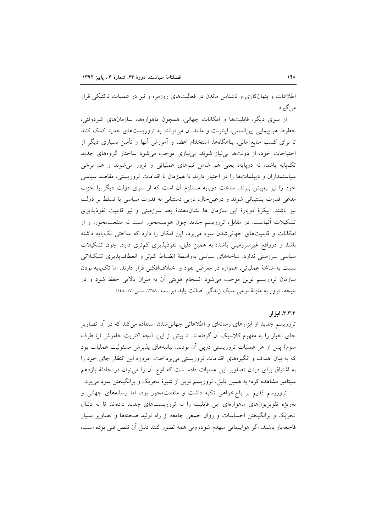اطلاعات و پنهانکاری و ناشناس ماندن در فعالیتهای روزمره و نیز در عملیات تاکتیکی قرار مے گہ د.

از سوی دیگر، قابلیتها و امکانات جهانی، همچون ماهوارهها، سازمانهای غیردولتی، خطوط هواپیمایی بینالمللی، اینترنت و مانند آن میتوانند به تروریستهای جدید کمک کنند تا برای کسب منابع مالی، پناهگاهها، استخدام اعضا و آموزش آنها و تأمین بسیاری دیگر از احتیاجات خود، از دولتها بی نیاز شوند. بی نیازی موجب می شود ساختار گروههای جدید تکپایه باشد، نه دوپایه؛ یعنی هم شامل تیمهای عملیاتی و ترور میشوند و هم برخی سیاستمداران و دیپلماتها را در اختیار دارند تا همزمان با اقدامات تروریستی، مقاصد سیاسی خود را نیز بهپیش ببرند. ساخت دوپایه مستلزم أن است که از سوی دولت دیگر یا حزب مدعی قدرت پشتیبانی شوند و درعین حال، دریی دستیابی به قدرت سیاسی یا تسلط بر دولت نیز باشند. پیکرهٔ دویارهٔ این سازمان ها نشاندهندهٔ بعد سرزمینی و نیز قابلیت نفوذیذیری تشکیلات آنهاست. در مقابل، تروریسم جدید چون هویتمحور است نه منفعتمحور، و از امکانات و قابلیتهای جهانی شدن سود میبرد، این امکان را دارد که ساختی تکپایه داشته باشد و درواقع غیرسرزمینی باشد؛ به همین دلیل، نفوذپذیری کم تری دارد، چون تشکیلات سیاسی سرزمینی ندارد. شاخههای سیاسی بهواسطهٔ انضباط کمتر و انعطافپذیری تشکیلاتی نسبت به شاخهٔ عملیاتی، همواره در معرض نفوذ و اختلافافکنی قرار دارند. اما تک پایه بودن سازمان تروریسم نوین موجب میشود انسجام هویتی اَن به میزان بالایی حفظ شود و در نتيجه، ترور به منزلهٔ نوعي سبک زندگي اصالت يابد (پورسعيد، ١٣٨٨، صص١٧٠-١٤٥).

# ٣.٣.۴. ايزار

تروریسم جدید از ابزارهای رسانهای و اطلاعاتی جهانی شدن استفاده می کند که در آن تصاویر جای اخبار را به مفهوم کلاسیک آن گرفتهاند. تا پیش از این، آنچه اکثریت خاموش (یا طرف سوم) پس از هر عملیات تروریستی درپی آن بودند، بیانیههای پذیرش مسئولیت عملیات بود که به بیان اهداف و انگیزههای اقدامات تروریستی میپرداخت. امروزه این انتظار جای خود را به اشتیاق برای دیدن تصاویر این عملیات داده است که اوج آن را می توان در حادثهٔ یازدهم سپتامبر مشاهده کرد؛ به همین دلیل، تروریسم نوین از شیوهٔ تحریک و برانگیختن سود میبرد.

تروریسم قدیم بر باجخواهی تکیه داشت و منفعت.حور بود، اما رسانههای جهانی و بهویژه تلویزیونهای ماهوارهای این قابلیت را به تروریستهای جدید دادهاند تا به دنبال تحریک و برانگیختن احساسات و روان جمعی جامعه از راه تولید صحنهها و تصاویر بسیار فاجعهبار باشند. اگر هواپیمایی منهدم شود، ولی همه تصور کنند دلیل آن نقص فنی بوده است،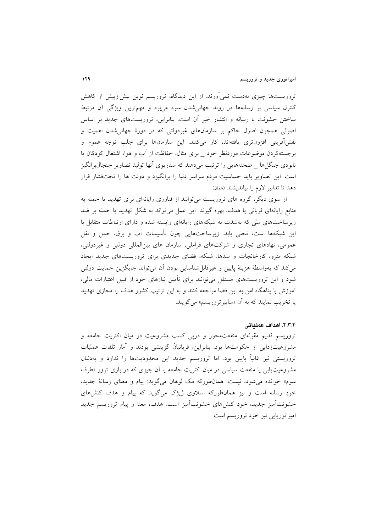تروریستها چیزی بهدست نمی آورند. از این دیدگاه، تروریسم نوین بیش(زییش از کاهش کنترل سیاسی بر رسانهها در روند جهانیشدن سود میبرد و مهمترین ویژگی آن مرتبط ساختن خشونت با رسانه و انتشار خبر أن است. بنابراین، تروریستهای جدید بر اساس اصولی همچون اصول حاکم بر سازمانهای غیردولتی که در دورهٔ جهانی شدن اهمیت و نقش[فرینی افزون تری یافتهاند، کار میکنند. این سازمانها برای جلب توجه عموم و برجستهکردن موضوعات موردنظر خود \_ براى مثال، حفاظت از آب و هوا، اشتغال کودکان یا نابودی جنگلها \_ صحنههایی را ترتیب میدهند که سناریوی آنها تولید تصاویر جنجالبرانگیز است. این تصاویر باید حساسیت مردم سراسر دنیا را برانگیزد و دولت ها را تحتفشار قرار دهد تا تدابير لازم را بيانديشند (ممان).

از سوی دیگر، گروه های تروریست می توانند از فناوری رایانهای برای تهدید یا حمله به منابع رایانهای قربانی یا هدف، بهره گیرند. این عمل می تواند به شکل تهدید یا حمله بر ضد زیرساختهای ملی که بهشدت به شبکههای رایانهای وابسته شده و دارای ارتباطات متقابل با این شبکهها است، تجلی یابد. زیرساختهایی چون تأسیسات آب و برق، حمل و نقل عمومی، نهادهای تجاری و شرکتهای فراملی، سازمان های بین المللی دولتی و غیردولتی، شبکه مترو، کارخانجات و سدها. شبکه، فضای جدیدی برای تروریستهای جدید ایجاد می کند که بهواسطهٔ هزینهٔ پایین و غیرقابل شناسایی بودن آن می تواند جایگزین حمایت دولتی شود و این تروریستهای مستقل میتوانند برای تأمین نیازهای خود از قبیل اعتبارات مالی، آموزش یا پناهگاه امن به این فضا مراجعه کنند و به این ترتیب کشور هدف را مجازی تهدید يا تخريب نمايند كه به أن «سايبرتروريسم» مي گويند.

## ۴.۳.۴. اهداف عملیاتی

تروریسم قدیم مقولهای منفعتمحور و دریبی کسب مشروعیت در میان اکثریت جامعه و مشروعیتزدایی از حکومتها بود. بنابراین، قربانیانْ گزینشی بودند و آمار تلفات عملیات تروریستی نیز غالباً پایین بود. اما تروریسم جدید این محدودیتها را ندارد و بهدنبال مشروعیت یابی یا منفعت سیاسی در میان اکثریت جامعه یا آن چیزی که در بازی ترور «طرف سوم» خوانده می شود، نیست. همانطورکه مک لوهان میگوید: پیام و معنای رسانهٔ جدید، خودِ رسانه است و نیز همانطورکه اسلاوی ژیژک میگوید که پیام و هدف کنشهای خشونتآمیز جدید، خودِ کنشهای خشونتآمیز است. هدف، معنا و پیام تروریسم جدید امپراتوریایی نیز خود تروریسم است.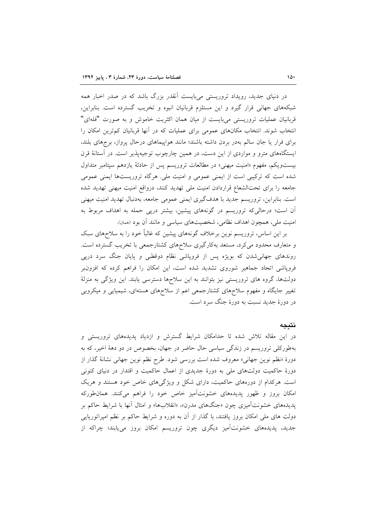در دنیای جدید، رویداد تروریستی میبایست آنقدر بزرگ باشد که در صدر اخبار همه شبکههای جهانی قرار گیرد و این مستلزم قربانیان انبوه و تخریب گسترده است. بنابراین، قربانیان عملیات تروریستی می!یست از میان همان اکثریت خاموش و به صورت "فلهای" انتخاب شوند. انتخاب مکانهای عمومی برای عملیات که در آنها قربانیان کمترین امکان را برای فرار یا جان سالم بهدر بردن داشته باشند؛ مانند هواپیماهای درحال پرواز، برجهای بلند، ایستگاههای مترو و مواردی از این دست، در همین چارچوب توجیهپذیر است. در آستانهٔ قرن بیست ویکم، مفهوم «امنیت میهنی» در مطالعات تروریسم پس از حادثهٔ یازدهم سیتامبر متداول شده است که ترکیبی است از ایمنی عمومی و امنیت ملی. هرگاه تروریستها ایمنی عمومی جامعه را برای تحتالشعاع قراردادن امنیت ملی تهدید کنند، درواقع امنیت میهنی تهدید شده است. بنابراین، تروریسم جدید با هدفگیری ایمنی عمومی جامعه، بهدنبال تهدید امنیت میهنی آن است؛ درحالی که تروریسم در گونههای پیشین، بیشتر دریی حمله به اهداف مربوط به امنیت ملی، همچون اهداف نظامی، شخصیتهای سیاسی و مانند آن بود (همان).

بر این اساس، تروریسم نوین برخلاف گونههای پیشین که غالباً خود را به سلاحهای سبک و متعارف محدود می کرد، مستعد به کارگیری سلاحهای کشتارجمعی با تخریب گسترده است. روندهای جهانی شدن که بویژه پس از فروپاشی نظام دوقطبی و پایان جنگ سرد درپی فروپاشی اتحاد جماهیر شوروی تشدید شده است، این امکان را فراهم کرده که افزونبر دولتها، گروه های تروریستی نیز بتوانند به این سلاحها دسترسی یابند. این ویژگی به منزلهٔ تغییر جایگاه و مفهوم سلاحهای کشتارجمعی اعم از سلاحهای هستهای، شیمیایی و میکروبی در دورهٔ جدید نسبت به دورهٔ جنگ سرد است.

### نتيجه

در این مقاله تلاش شده تا حدامکان شرایط گسترش و ازدیاد پدیدههای تروریستی و بهطورکلی تروریسم در زندگی سیاسی حال حاضر در جهان، بخصوص در دو دههٔ اخیر، که به دورهٔ «نظم نوین جهانی» معروف شده است بررسی شود. طرح نظم نوین جهانی نشانهٔ گذار از دورهٔ حاکمیت دولتهای ملی به دورهٔ جدیدی از اعمال حاکمیت و اقتدار در دنیای کنونی است. هرکدام از دورههای حاکمیت، دارای شکل و ویژگیهای خاص خود هستند و هریک امکان بروز و ظهور پدیدههای خشونتآمیز خاص خود را فراهم میکنند. همان طورکه پدیدههای خشونتآمیزی چون «جنگهای مدرن». «انقلابها» و امثال آنها با شرایط حاکم بر دولت های ملی امکان بروز یافتند، با گذار از آن به دوره و شرایط حاکم بر نظم امپراتوریایی جدید، پدیدههای خشونتآمیز دیگری چون تروریسم امکان بروز می،پابند؛ چراکه از